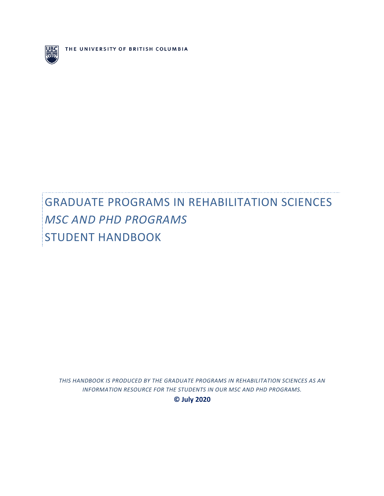

THE UNIVERSITY OF BRITISH COLUMBIA

# **GRADUATE PROGRAMS IN REHABILITATION SCIENCES** *MSC AND PHD PROGRAMS* STUDENT HANDBOOK

THIS HANDBOOK IS PRODUCED BY THE GRADUATE PROGRAMS IN REHABILITATION SCIENCES AS AN INFORMATION RESOURCE FOR THE STUDENTS IN OUR MSC AND PHD PROGRAMS. **© July 2020**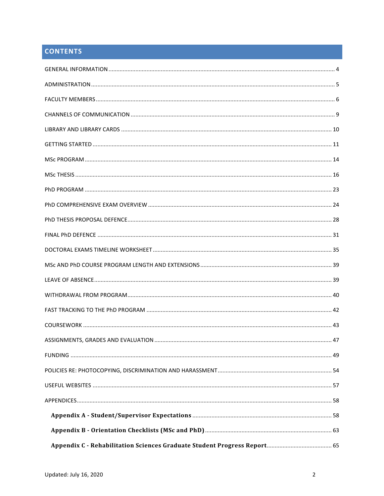## **CONTENTS**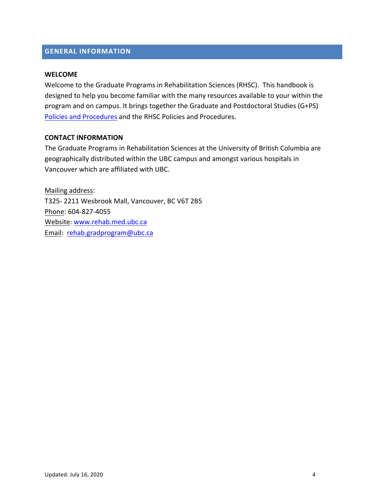# **APPENDIX INFORMATION**

#### **WELCOME**

Welcome to the Graduate Programs in Rehabilitation Sciences (RHSC). This handbook is designed to help you become familiar with the many resources available to your within the program and on campus. It brings together the Graduate and Postdoctoral Studies (G+PS) Policies and Procedures and the RHSC Policies and Procedures.

#### **CONTACT INFORMATION**

The Graduate Programs in Rehabilitation Sciences at the University of British Columbia are geographically distributed within the UBC campus and amongst various hospitals in Vancouver which are affiliated with UBC.

Mailing address: T325- 2211 Wesbrook Mall, Vancouver, BC V6T 2B5 Phone: 604-827-4055 Website: www.rehab.med.ubc.ca Email: rehab.gradprogram@ubc.ca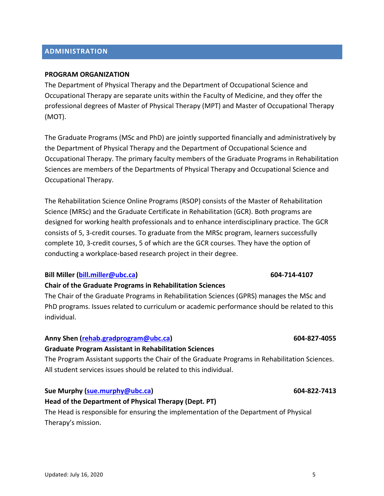# Updated: July 16, 2020 5

# $\blacksquare$ **ADMINISTRATION**

#### **PROGRAM ORGANIZATION**

The Department of Physical Therapy and the Department of Occupational Science and Occupational Therapy are separate units within the Faculty of Medicine, and they offer the professional degrees of Master of Physical Therapy (MPT) and Master of Occupational Therapy (MOT).

The Graduate Programs (MSc and PhD) are jointly supported financially and administratively by the Department of Physical Therapy and the Department of Occupational Science and Occupational Therapy. The primary faculty members of the Graduate Programs in Rehabilitation Sciences are members of the Departments of Physical Therapy and Occupational Science and Occupational Therapy.

The Rehabilitation Science Online Programs (RSOP) consists of the Master of Rehabilitation Science (MRSc) and the Graduate Certificate in Rehabilitation (GCR). Both programs are designed for working health professionals and to enhance interdisciplinary practice. The GCR consists of 5, 3-credit courses. To graduate from the MRSc program, learners successfully complete 10, 3-credit courses, 5 of which are the GCR courses. They have the option of conducting a workplace-based research project in their degree.

#### **Bill Miller (bill.miller@ubc.ca) 604-714-4107**

#### **Chair of the Graduate Programs in Rehabilitation Sciences**

The Chair of the Graduate Programs in Rehabilitation Sciences (GPRS) manages the MSc and PhD programs. Issues related to curriculum or academic performance should be related to this individual.

#### **Anny Shen (rehab.gradprogram@ubc.ca) 604-827-4055**

#### **Graduate Program Assistant in Rehabilitation Sciences**

The Program Assistant supports the Chair of the Graduate Programs in Rehabilitation Sciences. All student services issues should be related to this individual.

#### **Sue Murphy** (sue.murphy@ubc.ca) **1996 (support of the support of the support of the support of the support of the support of the support of the support of the support of the support of the support of the support of the**

#### **Head of the Department of Physical Therapy (Dept. PT)**

The Head is responsible for ensuring the implementation of the Department of Physical Therapy's mission.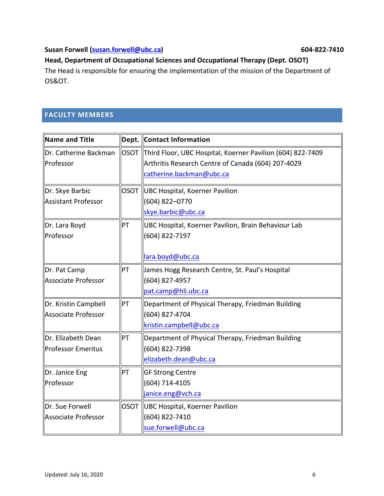#### **Susan Forwell** (**susan.forwell@ubc.ca**) **604-822-7410**

#### **Appendix Contract Construction Concerned Head, Department of Occupational Sciences and Occupational Therapy (Dept. OSOT)**

The Head is responsible for ensuring the implementation of the mission of the Department of OS&OT. 

## **FACULTY MEMBERS**

| Name and Title        |             | Dept. Contact Information                                       |  |
|-----------------------|-------------|-----------------------------------------------------------------|--|
| Dr. Catherine Backman |             | OSOT Third Floor, UBC Hospital, Koerner Pavilion (604) 822-7409 |  |
| <b>Professor</b>      |             | Arthritis Research Centre of Canada (604) 207-4029              |  |
|                       |             | catherine.backman@ubc.ca                                        |  |
| Dr. Skye Barbic       | <b>OSOT</b> | UBC Hospital, Koerner Pavilion                                  |  |
| Assistant Professor   |             | (604) 822-0770                                                  |  |
|                       |             | skye.barbic@ubc.ca                                              |  |
| Dr. Lara Boyd         | PT          | UBC Hospital, Koerner Pavilion, Brain Behaviour Lab             |  |
| <b>Professor</b>      |             | (604) 822-7197                                                  |  |
|                       |             |                                                                 |  |
|                       |             | lara.boyd@ubc.ca                                                |  |
| Dr. Pat Camp          | PT          | James Hogg Research Centre, St. Paul's Hospital                 |  |
| Associate Professor   |             | (604) 827-4957                                                  |  |
|                       |             | pat.camp@hli.ubc.ca                                             |  |
| Dr. Kristin Campbell  | PT          | Department of Physical Therapy, Friedman Building               |  |
| Associate Professor   |             | (604) 827-4704                                                  |  |
|                       |             | kristin.campbell@ubc.ca                                         |  |
| Dr. Elizabeth Dean    | PT          | Department of Physical Therapy, Friedman Building               |  |
| Professor Emeritus    |             | (604) 822-7398                                                  |  |
|                       |             | elizabeth.dean@ubc.ca                                           |  |
| Dr. Janice Eng        | PT          | <b>GF Strong Centre</b>                                         |  |
| <b>Professor</b>      |             | (604) 714-4105                                                  |  |
|                       |             | janice.eng@vch.ca                                               |  |
| Dr. Sue Forwell       |             | OSOT  UBC Hospital, Koerner Pavilion                            |  |
| Associate Professor   |             | (604) 822-7410                                                  |  |
|                       |             | sue.forwell@ubc.ca                                              |  |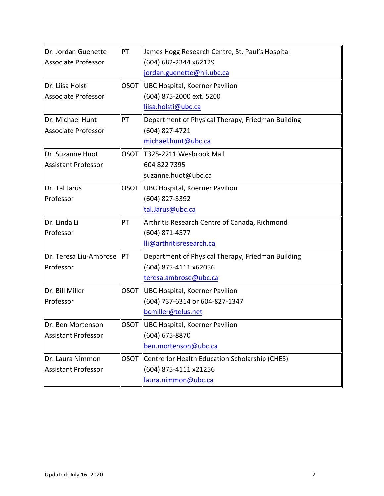| Dr. Jordan Guenette<br>Associate Professor<br>Dr. Liisa Holsti<br>Associate Professor | PT<br><b>OSOT</b> | James Hogg Research Centre, St. Paul's Hospital<br>(604) 682-2344 x62129<br>jordan.guenette@hli.ubc.ca |  |
|---------------------------------------------------------------------------------------|-------------------|--------------------------------------------------------------------------------------------------------|--|
|                                                                                       |                   |                                                                                                        |  |
|                                                                                       |                   |                                                                                                        |  |
|                                                                                       |                   |                                                                                                        |  |
|                                                                                       |                   | UBC Hospital, Koerner Pavilion                                                                         |  |
|                                                                                       |                   | (604) 875-2000 ext. 5200                                                                               |  |
|                                                                                       |                   | liisa.holsti@ubc.ca                                                                                    |  |
| Dr. Michael Hunt                                                                      | PT                | Department of Physical Therapy, Friedman Building                                                      |  |
| Associate Professor                                                                   |                   | (604) 827-4721                                                                                         |  |
|                                                                                       |                   | michael.hunt@ubc.ca                                                                                    |  |
| Dr. Suzanne Huot                                                                      | <b>OSOT</b>       | T325-2211 Wesbrook Mall                                                                                |  |
| <b>Assistant Professor</b>                                                            |                   | 604 822 7395                                                                                           |  |
|                                                                                       |                   | suzanne.huot@ubc.ca                                                                                    |  |
| Dr. Tal Jarus                                                                         |                   | OSOT   UBC Hospital, Koerner Pavilion                                                                  |  |
| Professor                                                                             |                   | (604) 827-3392                                                                                         |  |
|                                                                                       |                   | tal.Jarus@ubc.ca                                                                                       |  |
| Dr. Linda Li                                                                          | PT                | Arthritis Research Centre of Canada, Richmond                                                          |  |
| Professor                                                                             |                   | (604) 871-4577                                                                                         |  |
|                                                                                       |                   | lli@arthritisresearch.ca                                                                               |  |
| Dr. Teresa Liu-Ambrose                                                                | PT                | Department of Physical Therapy, Friedman Building                                                      |  |
| Professor                                                                             |                   | (604) 875-4111 x62056                                                                                  |  |
|                                                                                       |                   | teresa.ambrose@ubc.ca                                                                                  |  |
| Dr. Bill Miller                                                                       | <b>OSOT</b>       | UBC Hospital, Koerner Pavilion                                                                         |  |
| Professor                                                                             |                   | (604) 737-6314 or 604-827-1347                                                                         |  |
|                                                                                       |                   | bcmiller@telus.net                                                                                     |  |
| ∥Dr. Ben Mortenson                                                                    |                   | OSOT  UBC Hospital, Koerner Pavilion                                                                   |  |
|                                                                                       | (604) 675-8870    |                                                                                                        |  |
| Assistant Professor                                                                   |                   |                                                                                                        |  |
|                                                                                       |                   | ben.mortenson@ubc.ca                                                                                   |  |
| Dr. Laura Nimmon                                                                      | <b>OSOT</b>       | Centre for Health Education Scholarship (CHES)                                                         |  |
| Assistant Professor                                                                   |                   | (604) 875-4111 x21256                                                                                  |  |
|                                                                                       |                   |                                                                                                        |  |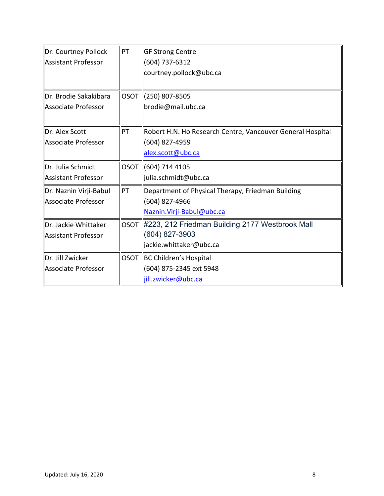| Dr. Courtney Pollock   | PT          | <b>GF Strong Centre</b>                                    |  |
|------------------------|-------------|------------------------------------------------------------|--|
| Assistant Professor    |             | $(604)$ 737-6312                                           |  |
|                        |             | courtney.pollock@ubc.ca                                    |  |
|                        |             |                                                            |  |
| Dr. Brodie Sakakibara  | <b>OSOT</b> | (250) 807-8505                                             |  |
| Associate Professor    |             | brodie@mail.ubc.ca                                         |  |
|                        |             |                                                            |  |
| Dr. Alex Scott         | PT          | Robert H.N. Ho Research Centre, Vancouver General Hospital |  |
| Associate Professor    |             | (604) 827-4959                                             |  |
|                        |             | alex.scott@ubc.ca                                          |  |
| Dr. Julia Schmidt      | <b>OSOT</b> | (604) 714 4105                                             |  |
| Assistant Professor    |             | julia.schmidt@ubc.ca                                       |  |
| Dr. Naznin Virji-Babul | PT          | Department of Physical Therapy, Friedman Building          |  |
| Associate Professor    |             | (604) 827-4966                                             |  |
|                        |             | Naznin. Virji-Babul@ubc.ca                                 |  |
| Dr. Jackie Whittaker   | <b>OSOT</b> | #223, 212 Friedman Building 2177 Westbrook Mall            |  |
| Assistant Professor    |             | (604) 827-3903                                             |  |
|                        |             | jackie.whittaker@ubc.ca                                    |  |
| Dr. Jill Zwicker       | <b>OSOT</b> | BC Children's Hospital                                     |  |
| Associate Professor    |             | (604) 875-2345 ext 5948                                    |  |
|                        |             | jill.zwicker@ubc.ca                                        |  |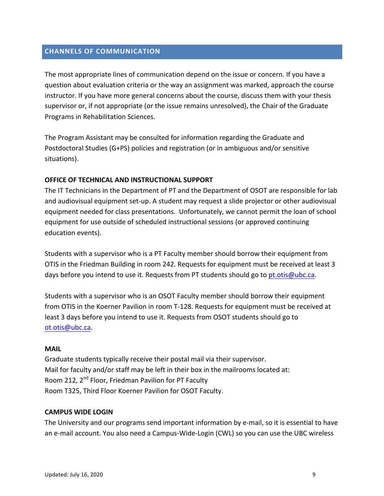# **CHANNELS OF COMMUNICATION**

The most appropriate lines of communication depend on the issue or concern. If you have a question about evaluation criteria or the way an assignment was marked, approach the course instructor. If you have more general concerns about the course, discuss them with your thesis supervisor or, if not appropriate (or the issue remains unresolved), the Chair of the Graduate Programs in Rehabilitation Sciences.

The Program Assistant may be consulted for information regarding the Graduate and Postdoctoral Studies (G+PS) policies and registration (or in ambiguous and/or sensitive situations).

#### **OFFICE OF TECHNICAL AND INSTRUCTIONAL SUPPORT**

The IT Technicians in the Department of PT and the Department of OSOT are responsible for lab and audiovisual equipment set-up. A student may request a slide projector or other audiovisual equipment needed for class presentations. Unfortunately, we cannot permit the loan of school equipment for use outside of scheduled instructional sessions (or approved continuing education events).

Students with a supervisor who is a PT Faculty member should borrow their equipment from OTIS in the Friedman Building in room 242. Requests for equipment must be received at least 3 days before you intend to use it. Requests from PT students should go to pt.otis@ubc.ca.

Students with a supervisor who is an OSOT Faculty member should borrow their equipment from OTIS in the Koerner Pavilion in room T-128. Requests for equipment must be received at least 3 days before you intend to use it. Requests from OSOT students should go to ot.otis@ubc.ca. 

#### **MAIL**

Graduate students typically receive their postal mail via their supervisor. Mail for faculty and/or staff may be left in their box in the mailrooms located at: Room 212, 2<sup>nd</sup> Floor, Friedman Pavilion for PT Faculty Room T325, Third Floor Koerner Pavilion for OSOT Faculty.

#### **CAMPUS WIDE LOGIN**

The University and our programs send important information by e-mail, so it is essential to have an e-mail account. You also need a Campus-Wide-Login (CWL) so you can use the UBC wireless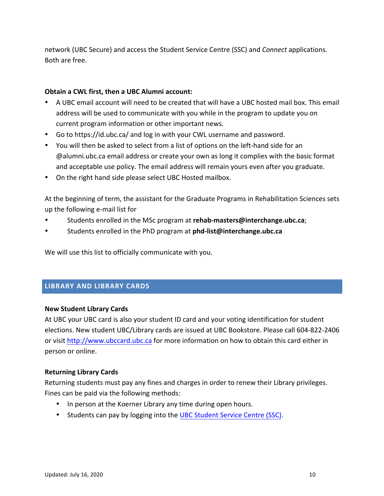**Approximated in the state of the state of the state of the state of the state of the state of the state of the state of the state of the state of the state of the state of the state of the state of the state of the state** network (UBC Secure) and access the Student Service Centre (SSC) and *Connect* applications. Both are free. 

#### **Obtain a CWL first, then a UBC Alumni account:**

- A UBC email account will need to be created that will have a UBC hosted mail box. This email address will be used to communicate with you while in the program to update you on current program information or other important news.
- Go to https://id.ubc.ca/ and log in with your CWL username and password.
- You will then be asked to select from a list of options on the left-hand side for an @alumni.ubc.ca email address or create your own as long it complies with the basic format and acceptable use policy. The email address will remain yours even after you graduate.
- On the right hand side please select UBC Hosted mailbox.

At the beginning of term, the assistant for the Graduate Programs in Rehabilitation Sciences sets up the following e-mail list for

- Students enrolled in the MSc program at rehab-masters@interchange.ubc.ca;
- Students enrolled in the PhD program at **phd-list@interchange.ubc.ca**

We will use this list to officially communicate with you.

#### **LIBRARY AND LIBRARY CARDS**

#### **New Student Library Cards**

At UBC your UBC card is also your student ID card and your voting identification for student elections. New student UBC/Library cards are issued at UBC Bookstore. Please call 604-822-2406 or visit http://www.ubccard.ubc.ca for more information on how to obtain this card either in person or online.

#### **Returning Library Cards**

Returning students must pay any fines and charges in order to renew their Library privileges. Fines can be paid via the following methods:

- In person at the Koerner Library any time during open hours.
- Students can pay by logging into the UBC Student Service Centre (SSC).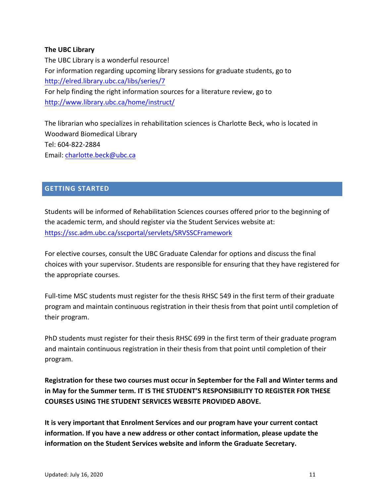#### **The UBC Library**

**Appendix C – Student Progress Report** The UBC Library is a wonderful resource! For information regarding upcoming library sessions for graduate students, go to http://elred.library.ubc.ca/libs/series/7 For help finding the right information sources for a literature review, go to http://www.library.ubc.ca/home/instruct/

The librarian who specializes in rehabilitation sciences is Charlotte Beck, who is located in Woodward Biomedical Library Tel: 604-822-2884 Email: charlotte.beck@ubc.ca

#### **GETTING STARTED**

Students will be informed of Rehabilitation Sciences courses offered prior to the beginning of the academic term, and should register via the Student Services website at: https://ssc.adm.ubc.ca/sscportal/servlets/SRVSSCFramework

For elective courses, consult the UBC Graduate Calendar for options and discuss the final choices with your supervisor. Students are responsible for ensuring that they have registered for the appropriate courses.

Full-time MSC students must register for the thesis RHSC 549 in the first term of their graduate program and maintain continuous registration in their thesis from that point until completion of their program.

PhD students must register for their thesis RHSC 699 in the first term of their graduate program and maintain continuous registration in their thesis from that point until completion of their program.

**Registration for these two courses must occur in September for the Fall and Winter terms and** in May for the Summer term. IT IS THE STUDENT'S RESPONSIBILITY TO REGISTER FOR THESE **COURSES USING THE STUDENT SERVICES WEBSITE PROVIDED ABOVE.** 

It is very important that Enrolment Services and our program have your current contact **information.** If you have a new address or other contact information, please update the information on the Student Services website and inform the Graduate Secretary.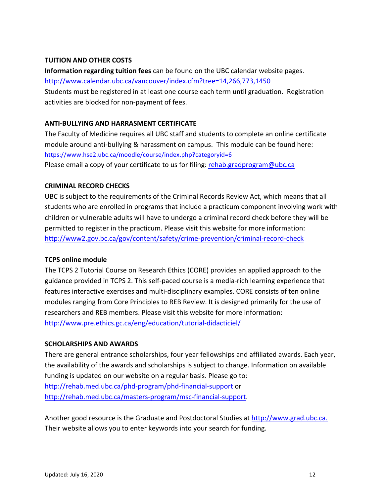#### **Appendix C – Student Progress Report TUITION AND OTHER COSTS**

**Information regarding tuition fees** can be found on the UBC calendar website pages. http://www.calendar.ubc.ca/vancouver/index.cfm?tree=14,266,773,1450 Students must be registered in at least one course each term until graduation. Registration activities are blocked for non-payment of fees.

#### **ANTI-BULLYING AND HARRASMENT CERTIFICATE**

The Faculty of Medicine requires all UBC staff and students to complete an online certificate module around anti-bullying & harassment on campus. This module can be found here: https://www.hse2.ubc.ca/moodle/course/index.php?categoryid=6 Please email a copy of your certificate to us for filing: rehab.gradprogram@ubc.ca

#### **CRIMINAL RECORD CHECKS**

UBC is subject to the requirements of the Criminal Records Review Act, which means that all students who are enrolled in programs that include a practicum component involving work with children or vulnerable adults will have to undergo a criminal record check before they will be permitted to register in the practicum. Please visit this website for more information: http://www2.gov.bc.ca/gov/content/safety/crime-prevention/criminal-record-check

#### **TCPS online module**

The TCPS 2 Tutorial Course on Research Ethics (CORE) provides an applied approach to the guidance provided in TCPS 2. This self-paced course is a media-rich learning experience that features interactive exercises and multi-disciplinary examples. CORE consists of ten online modules ranging from Core Principles to REB Review. It is designed primarily for the use of researchers and REB members. Please visit this website for more information: http://www.pre.ethics.gc.ca/eng/education/tutorial-didacticiel/

#### **SCHOLARSHIPS AND AWARDS**

There are general entrance scholarships, four year fellowships and affiliated awards. Each year, the availability of the awards and scholarships is subject to change. Information on available funding is updated on our website on a regular basis. Please go to: http://rehab.med.ubc.ca/phd-program/phd-financial-support or http://rehab.med.ubc.ca/masters-program/msc-financial-support. 

Another good resource is the Graduate and Postdoctoral Studies at http://www.grad.ubc.ca. Their website allows you to enter keywords into your search for funding.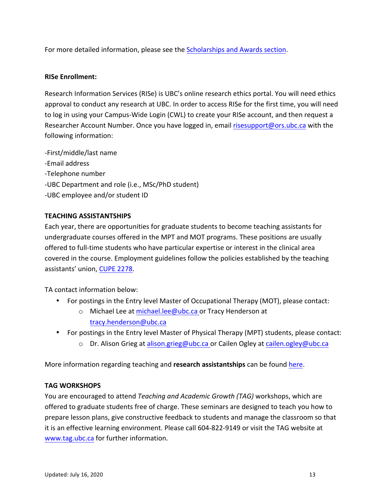**Apple detailed** information, predse see the <u>su</u> For more detailed information, please see the **Scholarships and Awards section**.

#### **RISe Enrollment:**

Research Information Services (RISe) is UBC's online research ethics portal. You will need ethics approval to conduct any research at UBC. In order to access RISe for the first time, you will need to log in using your Campus-Wide Login (CWL) to create your RISe account, and then request a Researcher Account Number. Once you have logged in, email risesupport@ors.ubc.ca with the following information:

-First/middle/last name

- -Email address
- -Telephone number
- -UBC Department and role (i.e., MSc/PhD student)
- -UBC employee and/or student ID

#### **TEACHING ASSISTANTSHIPS**

Each year, there are opportunities for graduate students to become teaching assistants for undergraduate courses offered in the MPT and MOT programs. These positions are usually offered to full-time students who have particular expertise or interest in the clinical area covered in the course. Employment guidelines follow the policies established by the teaching assistants' union, CUPE 2278.

TA contact information below:

- For postings in the Entry level Master of Occupational Therapy (MOT), please contact:
	- o Michael Lee at michael.lee@ubc.ca or Tracy Henderson at tracy.henderson@ubc.ca
- For postings in the Entry level Master of Physical Therapy (MPT) students, please contact:
	- o Dr. Alison Grieg at alison.grieg@ubc.ca or Cailen Ogley at cailen.ogley@ubc.ca

More information regarding teaching and **research assistantships** can be found here.

#### **TAG WORKSHOPS**

You are encouraged to attend *Teaching and Academic Growth (TAG)* workshops, which are offered to graduate students free of charge. These seminars are designed to teach you how to prepare lesson plans, give constructive feedback to students and manage the classroom so that it is an effective learning environment. Please call 604-822-9149 or visit the TAG website at www.tag.ubc.ca for further information.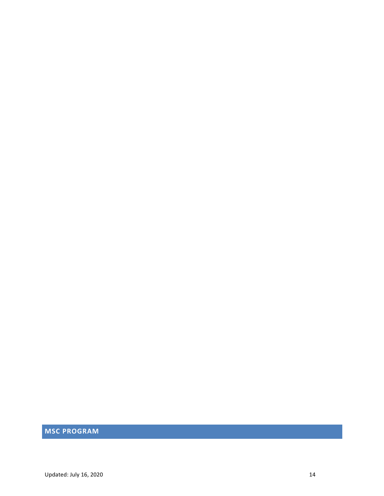# **MSC PROGRAM**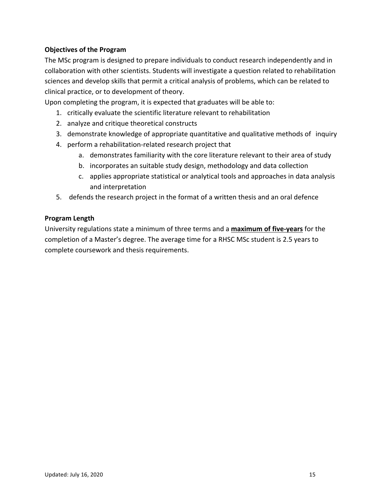#### **Objectives of the Program**

**Appendix Contract Program** The MSc program is designed to prepare individuals to conduct research independently and in collaboration with other scientists. Students will investigate a question related to rehabilitation sciences and develop skills that permit a critical analysis of problems, which can be related to clinical practice, or to development of theory.

Upon completing the program, it is expected that graduates will be able to:

- 1. critically evaluate the scientific literature relevant to rehabilitation
- 2. analyze and critique theoretical constructs
- 3. demonstrate knowledge of appropriate quantitative and qualitative methods of inquiry
- 4. perform a rehabilitation-related research project that
	- a. demonstrates familiarity with the core literature relevant to their area of study
	- b. incorporates an suitable study design, methodology and data collection
	- c. applies appropriate statistical or analytical tools and approaches in data analysis and interpretation
- 5. defends the research project in the format of a written thesis and an oral defence

#### **Program Length**

University regulations state a minimum of three terms and a **maximum of five-years** for the completion of a Master's degree. The average time for a RHSC MSc student is 2.5 years to complete coursework and thesis requirements.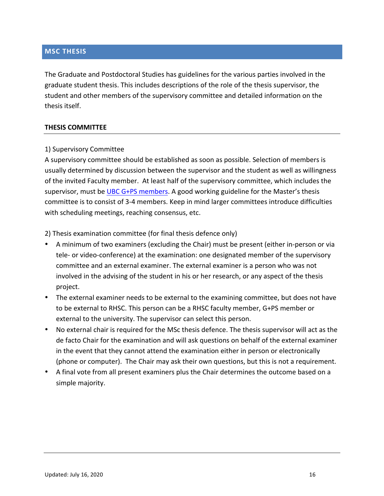# **Appendix Control**<br> **MSC THESIS**

The Graduate and Postdoctoral Studies has guidelines for the various parties involved in the graduate student thesis. This includes descriptions of the role of the thesis supervisor, the student and other members of the supervisory committee and detailed information on the thesis itself.

#### **THESIS COMMITTEE**

#### 1) Supervisory Committee

A supervisory committee should be established as soon as possible. Selection of members is usually determined by discussion between the supervisor and the student as well as willingness of the invited Faculty member. At least half of the supervisory committee, which includes the supervisor, must be UBC  $G+PS$  members. A good working guideline for the Master's thesis committee is to consist of 3-4 members. Keep in mind larger committees introduce difficulties with scheduling meetings, reaching consensus, etc.

2) Thesis examination committee (for final thesis defence only)

- A minimum of two examiners (excluding the Chair) must be present (either in-person or via tele- or video-conference) at the examination: one designated member of the supervisory committee and an external examiner. The external examiner is a person who was not involved in the advising of the student in his or her research, or any aspect of the thesis project.
- The external examiner needs to be external to the examining committee, but does not have to be external to RHSC. This person can be a RHSC faculty member, G+PS member or external to the university. The supervisor can select this person.
- No external chair is required for the MSc thesis defence. The thesis supervisor will act as the de facto Chair for the examination and will ask questions on behalf of the external examiner in the event that they cannot attend the examination either in person or electronically (phone or computer). The Chair may ask their own questions, but this is not a requirement.
- A final vote from all present examiners plus the Chair determines the outcome based on a simple majority.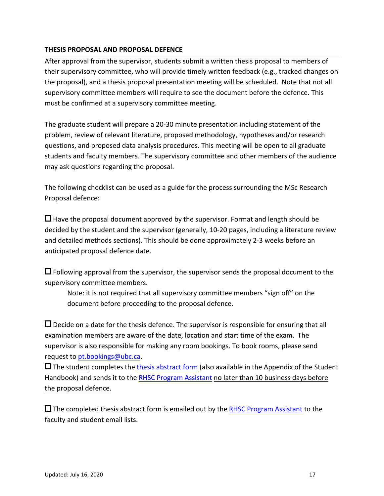#### **Appendix Contents in the content of Engle THESIS PROPOSAL AND PROPOSAL DEFENCE**

After approval from the supervisor, students submit a written thesis proposal to members of their supervisory committee, who will provide timely written feedback (e.g., tracked changes on the proposal), and a thesis proposal presentation meeting will be scheduled. Note that not all supervisory committee members will require to see the document before the defence. This must be confirmed at a supervisory committee meeting.

The graduate student will prepare a 20-30 minute presentation including statement of the problem, review of relevant literature, proposed methodology, hypotheses and/or research questions, and proposed data analysis procedures. This meeting will be open to all graduate students and faculty members. The supervisory committee and other members of the audience may ask questions regarding the proposal.

The following checklist can be used as a guide for the process surrounding the MSc Research Proposal defence:

 $\Box$  Have the proposal document approved by the supervisor. Format and length should be decided by the student and the supervisor (generally, 10-20 pages, including a literature review and detailed methods sections). This should be done approximately 2-3 weeks before an anticipated proposal defence date.

 $\Box$  Following approval from the supervisor, the supervisor sends the proposal document to the supervisory committee members.

Note: it is not required that all supervisory committee members "sign off" on the document before proceeding to the proposal defence.

 $\Box$  Decide on a date for the thesis defence. The supervisor is responsible for ensuring that all examination members are aware of the date, location and start time of the exam. The supervisor is also responsible for making any room bookings. To book rooms, please send request to pt.bookings@ubc.ca.

 $\square$  The student completes the thesis abstract form (also available in the Appendix of the Student Handbook) and sends it to the RHSC Program Assistant no later than 10 business days before the proposal defence.

 $\square$  The completed thesis abstract form is emailed out by the RHSC Program Assistant to the faculty and student email lists.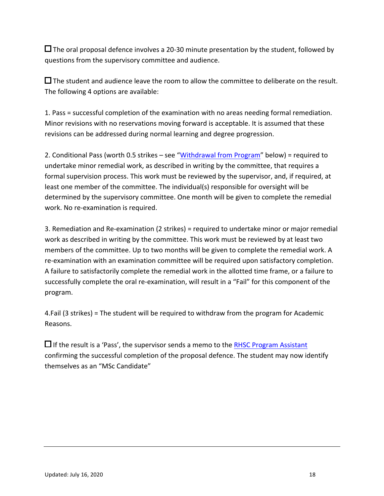**Appendix Comprehensive Comprehensive Students** The oral proposal defence involves a 20-30 minute presentation by the student, followed by questions from the supervisory committee and audience.

 $\square$  The student and audience leave the room to allow the committee to deliberate on the result. The following 4 options are available:

1. Pass = successful completion of the examination with no areas needing formal remediation. Minor revisions with no reservations moving forward is acceptable. It is assumed that these revisions can be addressed during normal learning and degree progression.

2. Conditional Pass (worth 0.5 strikes – see "Withdrawal from Program" below) = required to undertake minor remedial work, as described in writing by the committee, that requires a formal supervision process. This work must be reviewed by the supervisor, and, if required, at least one member of the committee. The individual(s) responsible for oversight will be determined by the supervisory committee. One month will be given to complete the remedial work. No re-examination is required.

3. Remediation and Re-examination (2 strikes) = required to undertake minor or major remedial work as described in writing by the committee. This work must be reviewed by at least two members of the committee. Up to two months will be given to complete the remedial work. A re-examination with an examination committee will be required upon satisfactory completion. A failure to satisfactorily complete the remedial work in the allotted time frame, or a failure to successfully complete the oral re-examination, will result in a "Fail" for this component of the program.

4.Fail (3 strikes) = The student will be required to withdraw from the program for Academic Reasons.

 $\Box$  If the result is a 'Pass', the supervisor sends a memo to the RHSC Program Assistant confirming the successful completion of the proposal defence. The student may now identify themselves as an "MSc Candidate"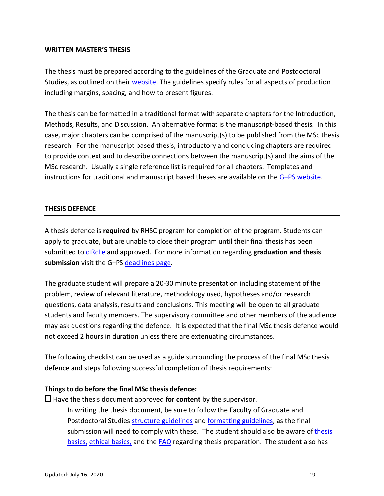#### **Appendix C – Student Progress Report WRITTEN MASTER'S THESIS**

The thesis must be prepared according to the guidelines of the Graduate and Postdoctoral Studies, as outlined on their website. The guidelines specify rules for all aspects of production including margins, spacing, and how to present figures.

The thesis can be formatted in a traditional format with separate chapters for the Introduction, Methods, Results, and Discussion. An alternative format is the manuscript-based thesis. In this case, major chapters can be comprised of the manuscript(s) to be published from the MSc thesis research. For the manuscript based thesis, introductory and concluding chapters are required to provide context and to describe connections between the manuscript(s) and the aims of the MSc research. Usually a single reference list is required for all chapters. Templates and instructions for traditional and manuscript based theses are available on the  $G+PS$  website.

#### **THESIS DEFENCE**

A thesis defence is **required** by RHSC program for completion of the program. Students can apply to graduate, but are unable to close their program until their final thesis has been submitted to cIRcLe and approved. For more information regarding graduation and thesis **submission** visit the G+PS deadlines page.

The graduate student will prepare a 20-30 minute presentation including statement of the problem, review of relevant literature, methodology used, hypotheses and/or research questions, data analysis, results and conclusions. This meeting will be open to all graduate students and faculty members. The supervisory committee and other members of the audience may ask questions regarding the defence. It is expected that the final MSc thesis defence would not exceed 2 hours in duration unless there are extenuating circumstances.

The following checklist can be used as a guide surrounding the process of the final MSc thesis defence and steps following successful completion of thesis requirements:

#### Things to do before the final MSc thesis defence:

 $\Box$  Have the thesis document approved **for content** by the supervisor. In writing the thesis document, be sure to follow the Faculty of Graduate and Postdoctoral Studies structure guidelines and formatting guidelines, as the final submission will need to comply with these. The student should also be aware of thesis basics, ethical basics, and the FAQ regarding thesis preparation. The student also has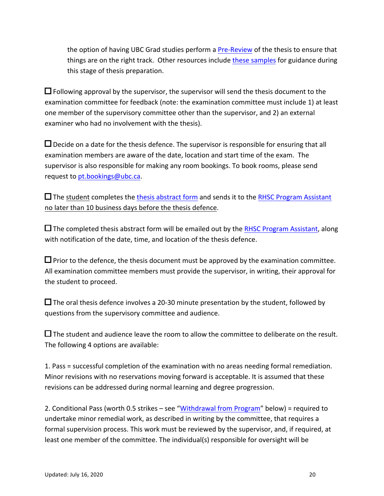**Appendix Containing SDC Students portion** the option of having UBC Grad studies perform a Pre-Review of the thesis to ensure that things are on the right track. Other resources include these samples for guidance during this stage of thesis preparation.

 $\Box$  Following approval by the supervisor, the supervisor will send the thesis document to the examination committee for feedback (note: the examination committee must include 1) at least one member of the supervisory committee other than the supervisor, and 2) an external examiner who had no involvement with the thesis).

 $\Box$  Decide on a date for the thesis defence. The supervisor is responsible for ensuring that all examination members are aware of the date, location and start time of the exam. The supervisor is also responsible for making any room bookings. To book rooms, please send request to pt.bookings@ubc.ca.

 $\square$  The student completes the thesis abstract form and sends it to the RHSC Program Assistant no later than 10 business days before the thesis defence.

 $\square$  The completed thesis abstract form will be emailed out by the RHSC Program Assistant, along with notification of the date, time, and location of the thesis defence.

 $\square$  Prior to the defence, the thesis document must be approved by the examination committee. All examination committee members must provide the supervisor, in writing, their approval for the student to proceed.

 $\square$  The oral thesis defence involves a 20-30 minute presentation by the student, followed by questions from the supervisory committee and audience.

 $\square$  The student and audience leave the room to allow the committee to deliberate on the result. The following 4 options are available:

1. Pass = successful completion of the examination with no areas needing formal remediation. Minor revisions with no reservations moving forward is acceptable. It is assumed that these revisions can be addressed during normal learning and degree progression.

2. Conditional Pass (worth 0.5 strikes – see "Withdrawal from Program" below) = required to undertake minor remedial work, as described in writing by the committee, that requires a formal supervision process. This work must be reviewed by the supervisor, and, if required, at least one member of the committee. The individual(s) responsible for oversight will be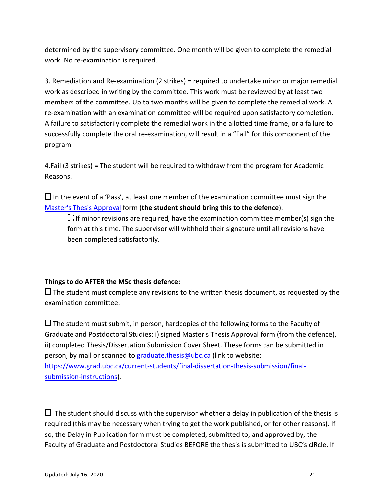**Appendix Comment Commencer** Studies determined by the supervisory committee. One month will be given to complete the remedial work. No re-examination is required.

3. Remediation and Re-examination (2 strikes) = required to undertake minor or major remedial work as described in writing by the committee. This work must be reviewed by at least two members of the committee. Up to two months will be given to complete the remedial work. A re-examination with an examination committee will be required upon satisfactory completion. A failure to satisfactorily complete the remedial work in the allotted time frame, or a failure to successfully complete the oral re-examination, will result in a "Fail" for this component of the program.

4.Fail (3 strikes) = The student will be required to withdraw from the program for Academic Reasons.

 $\Box$  In the event of a 'Pass', at least one member of the examination committee must sign the Master's Thesis Approval form (the student should bring this to the defence).

 $\Box$  If minor revisions are required, have the examination committee member(s) sign the form at this time. The supervisor will withhold their signature until all revisions have been completed satisfactorily.

### **Things to do AFTER the MSc thesis defence:**

 $\square$  The student must complete any revisions to the written thesis document, as requested by the examination committee.

 $\square$  The student must submit, in person, hardcopies of the following forms to the Faculty of Graduate and Postdoctoral Studies: i) signed Master's Thesis Approval form (from the defence), ii) completed Thesis/Dissertation Submission Cover Sheet. These forms can be submitted in person, by mail or scanned to graduate.thesis@ubc.ca (link to website: https://www.grad.ubc.ca/current-students/final-dissertation-thesis-submission/finalsubmission-instructions).

 $\Box$  The student should discuss with the supervisor whether a delay in publication of the thesis is required (this may be necessary when trying to get the work published, or for other reasons). If so, the Delay in Publication form must be completed, submitted to, and approved by, the Faculty of Graduate and Postdoctoral Studies BEFORE the thesis is submitted to UBC's cIRcle. If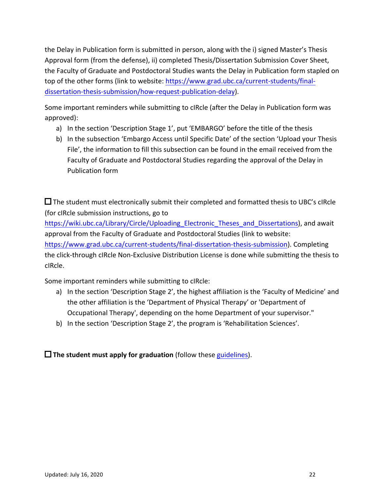**Let us the students of the students of the students of the students of the students of the students of the students** the Delay in Publication form is submitted in person, along with the i) signed Master's Thesis Approval form (from the defense), ii) completed Thesis/Dissertation Submission Cover Sheet, the Faculty of Graduate and Postdoctoral Studies wants the Delay in Publication form stapled on top of the other forms (link to website: https://www.grad.ubc.ca/current-students/finaldissertation-thesis-submission/how-request-publication-delay).

Some important reminders while submitting to cIRcle (after the Delay in Publication form was approved):

- a) In the section 'Description Stage 1', put 'EMBARGO' before the title of the thesis
- b) In the subsection 'Embargo Access until Specific Date' of the section 'Upload your Thesis File', the information to fill this subsection can be found in the email received from the Faculty of Graduate and Postdoctoral Studies regarding the approval of the Delay in Publication form

 $\square$  The student must electronically submit their completed and formatted thesis to UBC's cIRcle (for cIRcle submission instructions, go to

https://wiki.ubc.ca/Library/Circle/Uploading Electronic Theses and Dissertations), and await approval from the Faculty of Graduate and Postdoctoral Studies (link to website: https://www.grad.ubc.ca/current-students/final-dissertation-thesis-submission). Completing the click-through cIRcle Non-Exclusive Distribution License is done while submitting the thesis to cIRcle.

Some important reminders while submitting to cIRcle:

- a) In the section 'Description Stage 2', the highest affiliation is the 'Faculty of Medicine' and the other affiliation is the 'Department of Physical Therapy' or 'Department of Occupational Therapy', depending on the home Department of your supervisor."
- b) In the section 'Description Stage 2', the program is 'Rehabilitation Sciences'.

 $\Box$  The student must apply for graduation (follow these guidelines).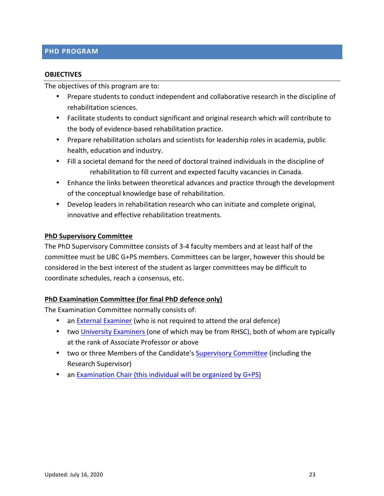# $\blacksquare$ **PHD** PROGRAM

#### **OBJECTIVES**

The objectives of this program are to:

- Prepare students to conduct independent and collaborative research in the discipline of rehabilitation sciences.
- Facilitate students to conduct significant and original research which will contribute to the body of evidence-based rehabilitation practice.
- Prepare rehabilitation scholars and scientists for leadership roles in academia, public health, education and industry.
- Fill a societal demand for the need of doctoral trained individuals in the discipline of rehabilitation to fill current and expected faculty vacancies in Canada.
- Enhance the links between theoretical advances and practice through the development of the conceptual knowledge base of rehabilitation.
- Develop leaders in rehabilitation research who can initiate and complete original, innovative and effective rehabilitation treatments.

#### **PhD Supervisory Committee**

The PhD Supervisory Committee consists of 3-4 faculty members and at least half of the committee must be UBC G+PS members. Committees can be larger, however this should be considered in the best interest of the student as larger committees may be difficult to coordinate schedules, reach a consensus, etc.

#### **PhD Examination Committee (for final PhD defence only)**

The Examination Committee normally consists of:

- an External Examiner (who is not required to attend the oral defence)
- two University Examiners (one of which may be from RHSC), both of whom are typically at the rank of Associate Professor or above
- two or three Members of the Candidate's Supervisory Committee (including the Research Supervisor)
- an Examination Chair (this individual will be organized by G+PS)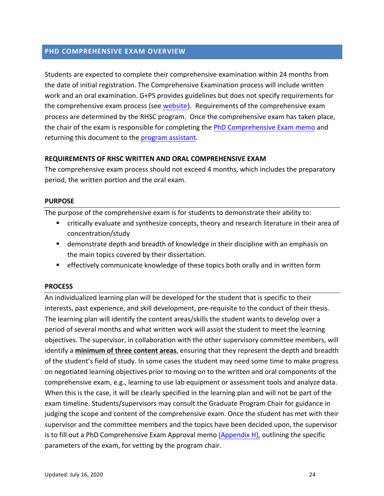# **PHD COMPREHENSIVE EXAM OVERVIEW**

Students are expected to complete their comprehensive examination within 24 months from the date of initial registration. The Comprehensive Examination process will include written work and an oral examination. G+PS provides guidelines but does not specify requirements for the comprehensive exam process (see website). Requirements of the comprehensive exam process are determined by the RHSC program. Once the comprehensive exam has taken place, the chair of the exam is responsible for completing the PhD Comprehensive Exam memo and returning this document to the program assistant.

#### **REQUIREMENTS OF RHSC WRITTEN AND ORAL COMPREHENSIVE EXAM**

The comprehensive exam process should not exceed 4 months, which includes the preparatory period, the written portion and the oral exam.

#### **PURPOSE**

The purpose of the comprehensive exam is for students to demonstrate their ability to:

- **Example in Critically** evaluate and synthesize concepts, theory and research literature in their area of concentration/study
- **E** demonstrate depth and breadth of knowledge in their discipline with an emphasis on the main topics covered by their dissertation.
- **EXEL EXELGEN** Entire throwledge of these topics both orally and in written form

#### **PROCESS**

An individualized learning plan will be developed for the student that is specific to their interests, past experience, and skill development, pre-requisite to the conduct of their thesis. The learning plan will identify the content areas/skills the student wants to develop over a period of several months and what written work will assist the student to meet the learning objectives. The supervisor, in collaboration with the other supervisory committee members, will identify a **minimum of three content areas**, ensuring that they represent the depth and breadth of the student's field of study. In some cases the student may need some time to make progress on negotiated learning objectives prior to moving on to the written and oral components of the comprehensive exam, e.g., learning to use lab equipment or assessment tools and analyze data. When this is the case, it will be clearly specified in the learning plan and will not be part of the exam timeline. Students/supervisors may consult the Graduate Program Chair for guidance in judging the scope and content of the comprehensive exam. Once the student has met with their supervisor and the committee members and the topics have been decided upon, the supervisor is to fill out a PhD Comprehensive Exam Approval memo (Appendix  $H$ ), outlining the specific parameters of the exam, for vetting by the program chair.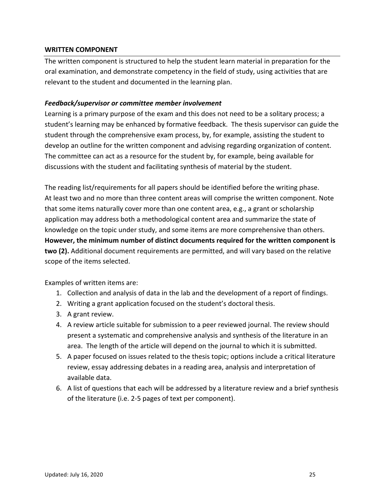#### **WRITTEN COMPONENT**

**Appendix Commonwealth** The written component is structured to help the student learn material in preparation for the oral examination, and demonstrate competency in the field of study, using activities that are relevant to the student and documented in the learning plan.

#### *Feedback/supervisor or committee member involvement*

Learning is a primary purpose of the exam and this does not need to be a solitary process; a student's learning may be enhanced by formative feedback. The thesis supervisor can guide the student through the comprehensive exam process, by, for example, assisting the student to develop an outline for the written component and advising regarding organization of content. The committee can act as a resource for the student by, for example, being available for discussions with the student and facilitating synthesis of material by the student.

The reading list/requirements for all papers should be identified before the writing phase. At least two and no more than three content areas will comprise the written component. Note that some items naturally cover more than one content area, e.g., a grant or scholarship application may address both a methodological content area and summarize the state of knowledge on the topic under study, and some items are more comprehensive than others. However, the minimum number of distinct documents required for the written component is **two (2).** Additional document requirements are permitted, and will vary based on the relative scope of the items selected.

Examples of written items are:

- 1. Collection and analysis of data in the lab and the development of a report of findings.
- 2. Writing a grant application focused on the student's doctoral thesis.
- 3. A grant review.
- 4. A review article suitable for submission to a peer reviewed journal. The review should present a systematic and comprehensive analysis and synthesis of the literature in an area. The length of the article will depend on the journal to which it is submitted.
- 5. A paper focused on issues related to the thesis topic; options include a critical literature review, essay addressing debates in a reading area, analysis and interpretation of available data.
- 6. A list of questions that each will be addressed by a literature review and a brief synthesis of the literature (i.e. 2-5 pages of text per component).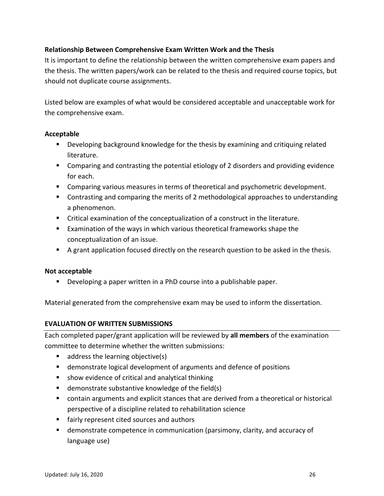#### **Approximately Component Component Component Component Component Component Component Component Component Component Component Component Component Component Component Component Component Component Component Component Compo Relationship Between Comprehensive Exam Written Work and the Thesis**

It is important to define the relationship between the written comprehensive exam papers and the thesis. The written papers/work can be related to the thesis and required course topics, but should not duplicate course assignments.

Listed below are examples of what would be considered acceptable and unacceptable work for the comprehensive exam.

#### **Acceptable**

- " Developing background knowledge for the thesis by examining and critiquing related literature.
- **E** Comparing and contrasting the potential etiology of 2 disorders and providing evidence for each.
- **E** Comparing various measures in terms of theoretical and psychometric development.
- Contrasting and comparing the merits of 2 methodological approaches to understanding a phenomenon.
- Critical examination of the conceptualization of a construct in the literature.
- Examination of the ways in which various theoretical frameworks shape the conceptualization of an issue.
- A grant application focused directly on the research question to be asked in the thesis.

#### **Not acceptable**

**.** Developing a paper written in a PhD course into a publishable paper.

Material generated from the comprehensive exam may be used to inform the dissertation.

#### **EVALUATION OF WRITTEN SUBMISSIONS**

Each completed paper/grant application will be reviewed by all members of the examination committee to determine whether the written submissions:

- $\blacksquare$  address the learning objective(s)
- demonstrate logical development of arguments and defence of positions
- show evidence of critical and analytical thinking
- $\blacksquare$  demonstrate substantive knowledge of the field(s)
- contain arguments and explicit stances that are derived from a theoretical or historical perspective of a discipline related to rehabilitation science
- fairly represent cited sources and authors
- **E** demonstrate competence in communication (parsimony, clarity, and accuracy of language use)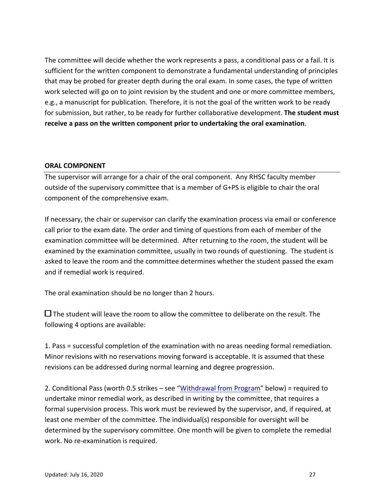**Appendix C – Student Progress Report** The committee will decide whether the work represents a pass, a conditional pass or a fail. It is sufficient for the written component to demonstrate a fundamental understanding of principles that may be probed for greater depth during the oral exam. In some cases, the type of written work selected will go on to joint revision by the student and one or more committee members, e.g., a manuscript for publication. Therefore, it is not the goal of the written work to be ready for submission, but rather, to be ready for further collaborative development. The student must receive a pass on the written component prior to undertaking the oral examination.

#### **ORAL COMPONENT**

The supervisor will arrange for a chair of the oral component. Any RHSC faculty member outside of the supervisory committee that is a member of  $G+PS$  is eligible to chair the oral component of the comprehensive exam.

If necessary, the chair or supervisor can clarify the examination process via email or conference call prior to the exam date. The order and timing of questions from each of member of the examination committee will be determined. After returning to the room, the student will be examined by the examination committee, usually in two rounds of questioning. The student is asked to leave the room and the committee determines whether the student passed the exam and if remedial work is required.

The oral examination should be no longer than 2 hours.

 $\Box$  The student will leave the room to allow the committee to deliberate on the result. The following 4 options are available:

1. Pass = successful completion of the examination with no areas needing formal remediation. Minor revisions with no reservations moving forward is acceptable. It is assumed that these revisions can be addressed during normal learning and degree progression.

2. Conditional Pass (worth 0.5 strikes – see "Withdrawal from Program" below) = required to undertake minor remedial work, as described in writing by the committee, that requires a formal supervision process. This work must be reviewed by the supervisor, and, if required, at least one member of the committee. The individual(s) responsible for oversight will be determined by the supervisory committee. One month will be given to complete the remedial work. No re-examination is required.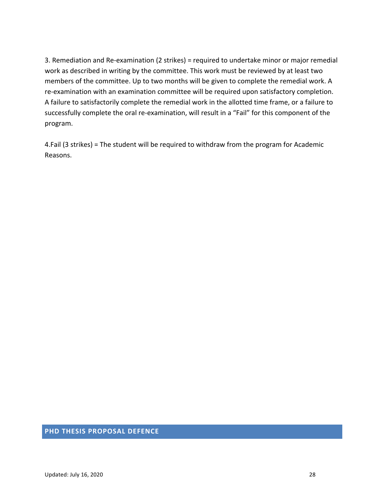**Appendix C – Student Progress Report** 3. Remediation and Re-examination (2 strikes) = required to undertake minor or major remedial work as described in writing by the committee. This work must be reviewed by at least two members of the committee. Up to two months will be given to complete the remedial work. A re-examination with an examination committee will be required upon satisfactory completion. A failure to satisfactorily complete the remedial work in the allotted time frame, or a failure to successfully complete the oral re-examination, will result in a "Fail" for this component of the program.

4.Fail (3 strikes) = The student will be required to withdraw from the program for Academic Reasons.

#### **PHD THESIS PROPOSAL DEFENCE**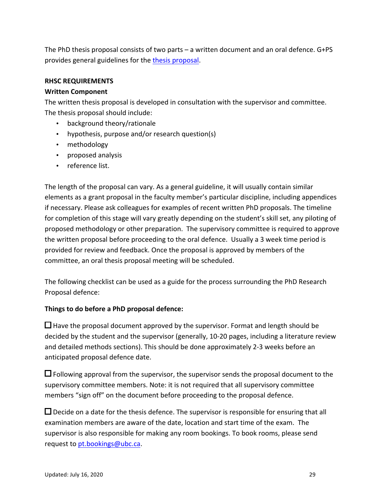**Appendix Consists of the parts** and The PhD thesis proposal consists of two parts  $-$  a written document and an oral defence. G+PS provides general guidelines for the thesis proposal.

#### **RHSC REQUIREMENTS**

#### **Written Component**

The written thesis proposal is developed in consultation with the supervisor and committee. The thesis proposal should include:

- background theory/rationale
- hypothesis, purpose and/or research question(s)
- methodology
- proposed analysis
- reference list.

The length of the proposal can vary. As a general guideline, it will usually contain similar elements as a grant proposal in the faculty member's particular discipline, including appendices if necessary. Please ask colleagues for examples of recent written PhD proposals. The timeline for completion of this stage will vary greatly depending on the student's skill set, any piloting of proposed methodology or other preparation. The supervisory committee is required to approve the written proposal before proceeding to the oral defence. Usually a 3 week time period is provided for review and feedback. Once the proposal is approved by members of the committee, an oral thesis proposal meeting will be scheduled.

The following checklist can be used as a guide for the process surrounding the PhD Research Proposal defence:

#### Things to do before a PhD proposal defence:

 $\Box$  Have the proposal document approved by the supervisor. Format and length should be decided by the student and the supervisor (generally, 10-20 pages, including a literature review and detailed methods sections). This should be done approximately 2-3 weeks before an anticipated proposal defence date.

 $\Box$  Following approval from the supervisor, the supervisor sends the proposal document to the supervisory committee members. Note: it is not required that all supervisory committee members "sign off" on the document before proceeding to the proposal defence.

 $\square$  Decide on a date for the thesis defence. The supervisor is responsible for ensuring that all examination members are aware of the date, location and start time of the exam. The supervisor is also responsible for making any room bookings. To book rooms, please send request to pt.bookings@ubc.ca.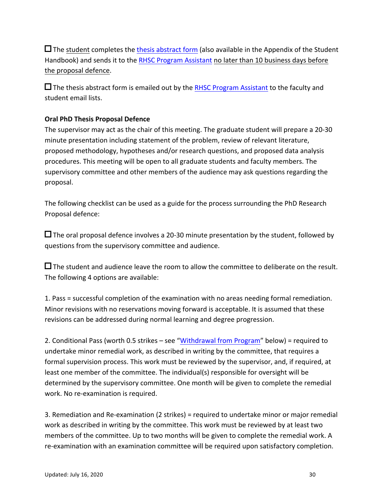**Appendix Completes** the <u>thesis abstract for</u>  $\Box$  The student completes the thesis abstract form (also available in the Appendix of the Student Handbook) and sends it to the RHSC Program Assistant no later than 10 business days before the proposal defence.

 $\square$  The thesis abstract form is emailed out by the RHSC Program Assistant to the faculty and student email lists.

### **Oral PhD Thesis Proposal Defence**

The supervisor may act as the chair of this meeting. The graduate student will prepare a 20-30 minute presentation including statement of the problem, review of relevant literature, proposed methodology, hypotheses and/or research questions, and proposed data analysis procedures. This meeting will be open to all graduate students and faculty members. The supervisory committee and other members of the audience may ask questions regarding the proposal. 

The following checklist can be used as a guide for the process surrounding the PhD Research Proposal defence:

 $\square$  The oral proposal defence involves a 20-30 minute presentation by the student, followed by questions from the supervisory committee and audience.

 $\Box$  The student and audience leave the room to allow the committee to deliberate on the result. The following 4 options are available:

1. Pass = successful completion of the examination with no areas needing formal remediation. Minor revisions with no reservations moving forward is acceptable. It is assumed that these revisions can be addressed during normal learning and degree progression.

2. Conditional Pass (worth 0.5 strikes – see "Withdrawal from Program" below) = required to undertake minor remedial work, as described in writing by the committee, that requires a formal supervision process. This work must be reviewed by the supervisor, and, if required, at least one member of the committee. The individual(s) responsible for oversight will be determined by the supervisory committee. One month will be given to complete the remedial work. No re-examination is required.

3. Remediation and Re-examination (2 strikes) = required to undertake minor or major remedial work as described in writing by the committee. This work must be reviewed by at least two members of the committee. Up to two months will be given to complete the remedial work. A re-examination with an examination committee will be required upon satisfactory completion.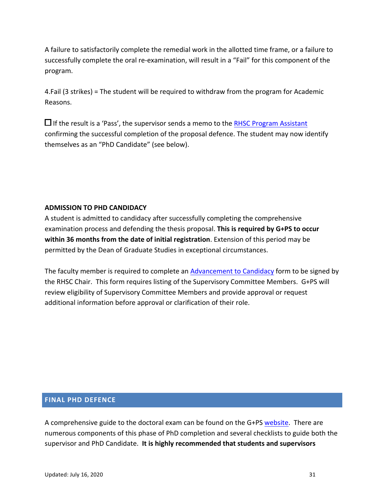**A**<br>**A A E P E P E C P C P E P C P E P C P E P E P E P E** A failure to satisfactorily complete the remedial work in the allotted time frame, or a failure to successfully complete the oral re-examination, will result in a "Fail" for this component of the program.

4.Fail (3 strikes) = The student will be required to withdraw from the program for Academic Reasons.

 $\Box$  If the result is a 'Pass', the supervisor sends a memo to the RHSC Program Assistant confirming the successful completion of the proposal defence. The student may now identify themselves as an "PhD Candidate" (see below).

#### **ADMISSION TO PHD CANDIDACY**

A student is admitted to candidacy after successfully completing the comprehensive examination process and defending the thesis proposal. **This is required by G+PS to occur within 36 months from the date of initial registration**. Extension of this period may be permitted by the Dean of Graduate Studies in exceptional circumstances.

The faculty member is required to complete an Advancement to Candidacy form to be signed by the RHSC Chair. This form requires listing of the Supervisory Committee Members. G+PS will review eligibility of Supervisory Committee Members and provide approval or request additional information before approval or clarification of their role.

#### **FINAL PHD DEFENCE**

A comprehensive guide to the doctoral exam can be found on the G+PS website. There are numerous components of this phase of PhD completion and several checklists to guide both the supervisor and PhD Candidate. It is highly recommended that students and supervisors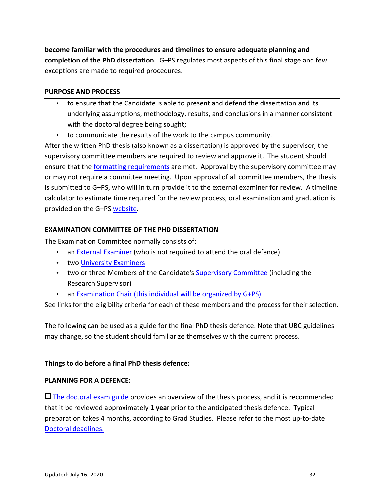appendix and the process **C** and then **become familiar with the procedures and timelines to ensure adequate planning and** completion of the PhD dissertation. G+PS regulates most aspects of this final stage and few exceptions are made to required procedures.

#### **PURPOSE AND PROCESS**

- to ensure that the Candidate is able to present and defend the dissertation and its underlying assumptions, methodology, results, and conclusions in a manner consistent with the doctoral degree being sought;
- to communicate the results of the work to the campus community.

After the written PhD thesis (also known as a dissertation) is approved by the supervisor, the supervisory committee members are required to review and approve it. The student should ensure that the formatting requirements are met. Approval by the supervisory committee may or may not require a committee meeting. Upon approval of all committee members, the thesis is submitted to G+PS, who will in turn provide it to the external examiner for review. A timeline calculator to estimate time required for the review process, oral examination and graduation is provided on the G+PS website.

#### **EXAMINATION COMMITTEE OF THE PHD DISSERTATION**

The Examination Committee normally consists of:

- an External Examiner (who is not required to attend the oral defence)
- two University Examiners
- two or three Members of the Candidate's Supervisory Committee (including the Research Supervisor)
- an Examination Chair (this individual will be organized by  $G+PS$ )

See links for the eligibility criteria for each of these members and the process for their selection.

The following can be used as a guide for the final PhD thesis defence. Note that UBC guidelines may change, so the student should familiarize themselves with the current process.

#### Things to do before a final PhD thesis defence:

#### **PLANNING FOR A DEFENCE:**

 $\square$  The doctoral exam guide provides an overview of the thesis process, and it is recommended that it be reviewed approximately 1 year prior to the anticipated thesis defence. Typical preparation takes 4 months, according to Grad Studies. Please refer to the most up-to-date Doctoral deadlines.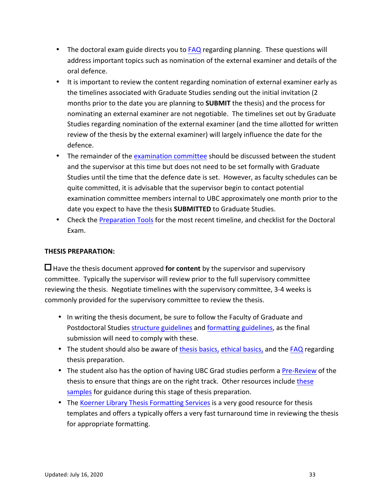- The doctoral exam guide directs you to **FAQ** regarding planning. These questions will address important topics such as nomination of the external examiner and details of the oral defence.
- It is important to review the content regarding nomination of external examiner early as the timelines associated with Graduate Studies sending out the initial invitation (2 months prior to the date you are planning to **SUBMIT** the thesis) and the process for nominating an external examiner are not negotiable. The timelines set out by Graduate Studies regarding nomination of the external examiner (and the time allotted for written review of the thesis by the external examiner) will largely influence the date for the defence.
- The remainder of the examination committee should be discussed between the student and the supervisor at this time but does not need to be set formally with Graduate Studies until the time that the defence date is set. However, as faculty schedules can be quite committed, it is advisable that the supervisor begin to contact potential examination committee members internal to UBC approximately one month prior to the date you expect to have the thesis **SUBMITTED** to Graduate Studies.
- Check the Preparation Tools for the most recent timeline, and checklist for the Doctoral Exam.

#### **THESIS PREPARATION:**

 $\Box$  Have the thesis document approved **for content** by the supervisor and supervisory committee. Typically the supervisor will review prior to the full supervisory committee reviewing the thesis. Negotiate timelines with the supervisory committee, 3-4 weeks is commonly provided for the supervisory committee to review the thesis.

- In writing the thesis document, be sure to follow the Faculty of Graduate and Postdoctoral Studies structure guidelines and formatting guidelines, as the final submission will need to comply with these.
- The student should also be aware of thesis basics, ethical basics, and the FAQ regarding thesis preparation.
- The student also has the option of having UBC Grad studies perform a Pre-Review of the thesis to ensure that things are on the right track. Other resources include these samples for guidance during this stage of thesis preparation.
- The Koerner Library Thesis Formatting Services is a very good resource for thesis templates and offers a typically offers a very fast turnaround time in reviewing the thesis for appropriate formatting.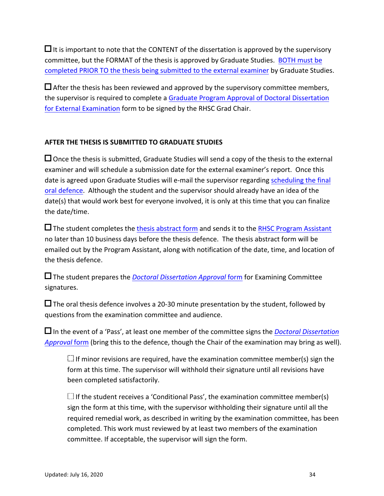Appendix to hote that the contract of the  $\Box$  It is important to note that the CONTENT of the dissertation is approved by the supervisory committee, but the FORMAT of the thesis is approved by Graduate Studies. BOTH must be completed PRIOR TO the thesis being submitted to the external examiner by Graduate Studies.

 $\Box$  After the thesis has been reviewed and approved by the supervisory committee members, the supervisor is required to complete a Graduate Program Approval of Doctoral Dissertation for External Examination form to be signed by the RHSC Grad Chair.

### **AFTER THE THESIS IS SUBMITTED TO GRADUATE STUDIES**

 $\square$  Once the thesis is submitted, Graduate Studies will send a copy of the thesis to the external examiner and will schedule a submission date for the external examiner's report. Once this date is agreed upon Graduate Studies will e-mail the supervisor regarding scheduling the final oral defence. Although the student and the supervisor should already have an idea of the date(s) that would work best for everyone involved, it is only at this time that you can finalize the date/time.

 $\square$  The student completes the thesis abstract form and sends it to the RHSC Program Assistant no later than 10 business days before the thesis defence. The thesis abstract form will be emailed out by the Program Assistant, along with notification of the date, time, and location of the thesis defence.

□ The student prepares the *Doctoral Dissertation Approval* form for Examining Committee signatures.

 $\Box$  The oral thesis defence involves a 20-30 minute presentation by the student, followed by questions from the examination committee and audience.

 $\Box$  In the event of a 'Pass', at least one member of the committee signs the *Doctoral Dissertation Approval* form (bring this to the defence, though the Chair of the examination may bring as well).

 $\Box$  If minor revisions are required, have the examination committee member(s) sign the form at this time. The supervisor will withhold their signature until all revisions have been completed satisfactorily.

If the student receives a 'Conditional Pass', the examination committee member(s) sign the form at this time, with the supervisor withholding their signature until all the required remedial work, as described in writing by the examination committee, has been completed. This work must reviewed by at least two members of the examination committee. If acceptable, the supervisor will sign the form.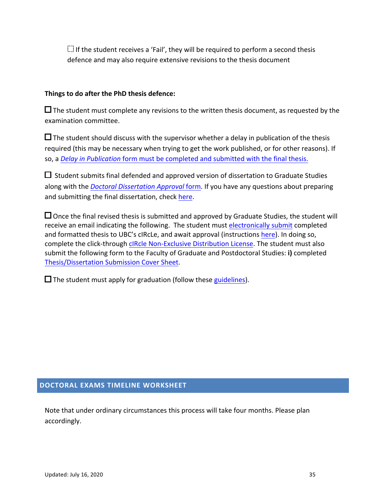**Apple The Student Receives a Fairly they will**  $\dddot{=}$  If the student receives a 'Fail', they will be required to perform a second thesis defence and may also require extensive revisions to the thesis document

#### Things to do after the PhD thesis defence:

 $\Box$  The student must complete any revisions to the written thesis document, as requested by the examination committee.

 $\square$  The student should discuss with the supervisor whether a delay in publication of the thesis required (this may be necessary when trying to get the work published, or for other reasons). If so, a *Delay in Publication* form must be completed and submitted with the final thesis.

 $\Box$  Student submits final defended and approved version of dissertation to Graduate Studies along with the *Doctoral Dissertation Approval* form. If you have any questions about preparing and submitting the final dissertation, check here.

 $\Box$  Once the final revised thesis is submitted and approved by Graduate Studies, the student will receive an email indicating the following. The student must electronically submit completed and formatted thesis to UBC's cIRcLe, and await approval (instructions here). In doing so, complete the click-through cIRcle Non-Exclusive Distribution License. The student must also submit the following form to the Faculty of Graduate and Postdoctoral Studies: i) completed Thesis/Dissertation Submission Cover Sheet.

 $\square$  The student must apply for graduation (follow these guidelines).

#### **DOCTORAL EXAMS TIMELINE WORKSHEET**

Note that under ordinary circumstances this process will take four months. Please plan accordingly.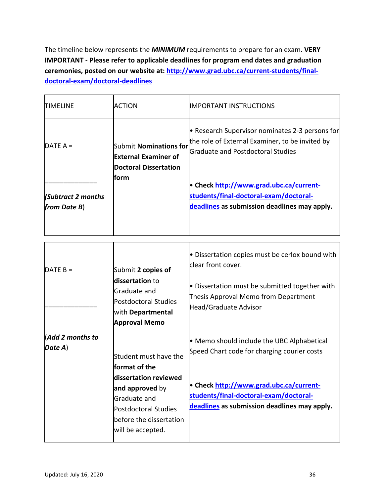**Appendix Constitution** The timeline below represents the **MINIMUM** requirements to prepare for an exam. VERY **IMPORTANT** - Please refer to applicable deadlines for program end dates and graduation ceremonies, posted on our website at: http://www.grad.ubc.ca/current-students/final**doctoral-exam/doctoral-deadlines**

| <b>TIMELINE</b>                             | <b>ACTION</b>                                                                                                                                                                     | <b>IMPORTANT INSTRUCTIONS</b>                                                                                                                                                                                                  |
|---------------------------------------------|-----------------------------------------------------------------------------------------------------------------------------------------------------------------------------------|--------------------------------------------------------------------------------------------------------------------------------------------------------------------------------------------------------------------------------|
| DATE $A =$                                  | <b>Submit Nominations for</b><br><b>External Examiner of</b><br><b>Doctoral Dissertation</b>                                                                                      | • Research Supervisor nominates 2-3 persons for<br>the role of External Examiner, to be invited by<br><b>Graduate and Postdoctoral Studies</b>                                                                                 |
| <b>Subtract 2 months</b><br>from Date $B$ ) | form                                                                                                                                                                              | • Check http://www.grad.ubc.ca/current-<br>students/final-doctoral-exam/doctoral-<br>deadlines as submission deadlines may apply.                                                                                              |
| DATE $B =$                                  | Submit 2 copies of<br>dissertation to<br>Graduate and<br><b>Postdoctoral Studies</b><br>with Departmental<br><b>Approval Memo</b>                                                 | • Dissertation copies must be cerlox bound with<br>clear front cover.<br>• Dissertation must be submitted together with<br>Thesis Approval Memo from Department<br>Head/Graduate Advisor                                       |
| Add 2 months to<br>Date A)                  | Student must have the<br>format of the<br>dissertation reviewed<br>and approved by<br>Graduate and<br><b>Postdoctoral Studies</b><br>before the dissertation<br>will be accepted. | • Memo should include the UBC Alphabetical<br>Speed Chart code for charging courier costs<br>• Check http://www.grad.ubc.ca/current-<br>students/final-doctoral-exam/doctoral-<br>deadlines as submission deadlines may apply. |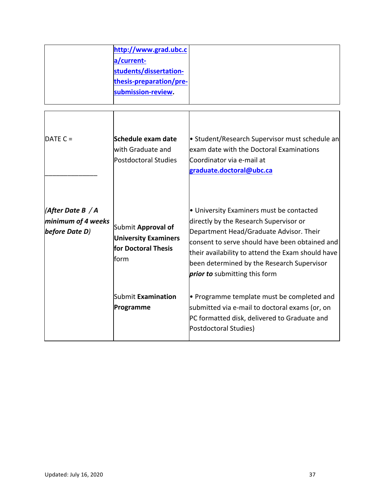|                                                               | http://www.grad.ubc.c<br>a/current-<br>students/dissertation-<br>thesis-preparation/pre-<br>submission-review. |                                                                                                                                                                                                                                                                                                                     |
|---------------------------------------------------------------|----------------------------------------------------------------------------------------------------------------|---------------------------------------------------------------------------------------------------------------------------------------------------------------------------------------------------------------------------------------------------------------------------------------------------------------------|
| DATE $C =$                                                    | Schedule exam date<br>with Graduate and<br><b>Postdoctoral Studies</b>                                         | • Student/Research Supervisor must schedule an<br>exam date with the Doctoral Examinations<br>Coordinator via e-mail at<br>graduate.doctoral@ubc.ca                                                                                                                                                                 |
| $ $ (After Date B / A<br>minimum of 4 weeks<br>before Date D) | Submit Approval of<br><b>University Examiners</b><br>for Doctoral Thesis<br>form                               | • University Examiners must be contacted<br>directly by the Research Supervisor or<br>Department Head/Graduate Advisor. Their<br>consent to serve should have been obtained and<br>their availability to attend the Exam should have<br>been determined by the Research Supervisor<br>prior to submitting this form |
|                                                               | Submit Examination<br>Programme                                                                                | • Programme template must be completed and<br>submitted via e-mail to doctoral exams (or, on<br>PC formatted disk, delivered to Graduate and<br>Postdoctoral Studies)                                                                                                                                               |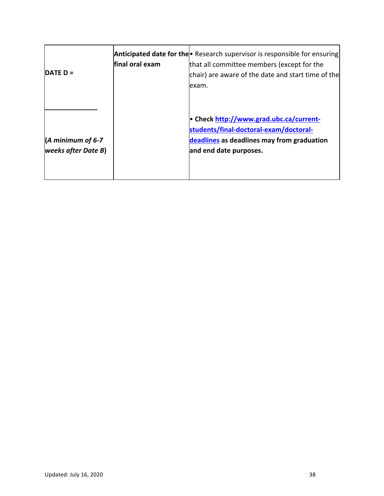| IDATE D =                                               | final oral exam | <b>Anticipated date for the •</b> Research supervisor is responsible for ensuring<br>that all committee members (except for the<br>chair) are aware of the date and start time of the<br>exam. |
|---------------------------------------------------------|-----------------|------------------------------------------------------------------------------------------------------------------------------------------------------------------------------------------------|
| $\vert$ (A minimum of 6-7<br><b>weeks after Date B)</b> |                 | • Check http://www.grad.ubc.ca/current-<br>students/final-doctoral-exam/doctoral-<br>deadlines as deadlines may from graduation<br>and end date purposes.                                      |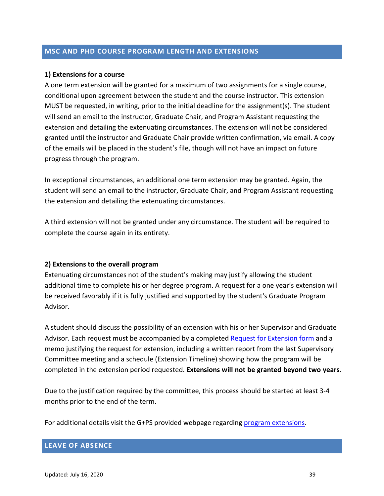# MSC AND PHD COURSE PROGRAM LENGTH AND EXTENSIONS

### **1) Extensions for a course**

A one term extension will be granted for a maximum of two assignments for a single course, conditional upon agreement between the student and the course instructor. This extension MUST be requested, in writing, prior to the initial deadline for the assignment(s). The student will send an email to the instructor, Graduate Chair, and Program Assistant requesting the extension and detailing the extenuating circumstances. The extension will not be considered granted until the instructor and Graduate Chair provide written confirmation, via email. A copy of the emails will be placed in the student's file, though will not have an impact on future progress through the program.

In exceptional circumstances, an additional one term extension may be granted. Again, the student will send an email to the instructor, Graduate Chair, and Program Assistant requesting the extension and detailing the extenuating circumstances.

A third extension will not be granted under any circumstance. The student will be required to complete the course again in its entirety.

### **2) Extensions to the overall program**

Extenuating circumstances not of the student's making may justify allowing the student additional time to complete his or her degree program. A request for a one year's extension will be received favorably if it is fully justified and supported by the student's Graduate Program Advisor. 

A student should discuss the possibility of an extension with his or her Supervisor and Graduate Advisor. Each request must be accompanied by a completed Request for Extension form and a memo justifying the request for extension, including a written report from the last Supervisory Committee meeting and a schedule (Extension Timeline) showing how the program will be completed in the extension period requested. **Extensions will not be granted beyond two years**.

Due to the justification required by the committee, this process should be started at least 3-4 months prior to the end of the term.

For additional details visit the G+PS provided webpage regarding program extensions.

# **LEAVE OF ABSENCE**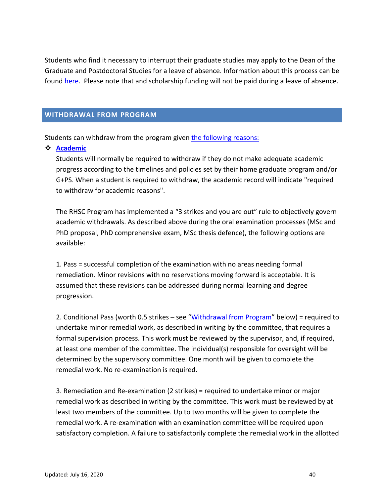**Appendix C – Student Progress Report** Students who find it necessary to interrupt their graduate studies may apply to the Dean of the Graduate and Postdoctoral Studies for a leave of absence. Information about this process can be found here. Please note that and scholarship funding will not be paid during a leave of absence.

# **WITHDRAWAL FROM PROGRAM**

Students can withdraw from the program given the following reasons:

" **Academic**

Students will normally be required to withdraw if they do not make adequate academic progress according to the timelines and policies set by their home graduate program and/or G+PS. When a student is required to withdraw, the academic record will indicate "required to withdraw for academic reasons".

The RHSC Program has implemented a "3 strikes and you are out" rule to objectively govern academic withdrawals. As described above during the oral examination processes (MSc and PhD proposal, PhD comprehensive exam, MSc thesis defence), the following options are available:

1. Pass = successful completion of the examination with no areas needing formal remediation. Minor revisions with no reservations moving forward is acceptable. It is assumed that these revisions can be addressed during normal learning and degree progression.

2. Conditional Pass (worth 0.5 strikes – see "Withdrawal from Program" below) = required to undertake minor remedial work, as described in writing by the committee, that requires a formal supervision process. This work must be reviewed by the supervisor, and, if required, at least one member of the committee. The individual(s) responsible for oversight will be determined by the supervisory committee. One month will be given to complete the remedial work. No re-examination is required.

3. Remediation and Re-examination (2 strikes) = required to undertake minor or major remedial work as described in writing by the committee. This work must be reviewed by at least two members of the committee. Up to two months will be given to complete the remedial work. A re-examination with an examination committee will be required upon satisfactory completion. A failure to satisfactorily complete the remedial work in the allotted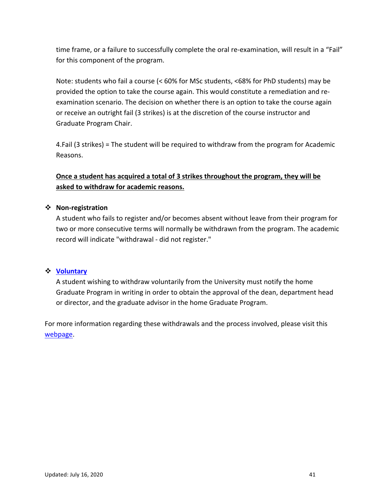anne hanne, or a famale to saccessiany compre time frame, or a failure to successfully complete the oral re-examination, will result in a "Fail" for this component of the program.

Note: students who fail a course (< 60% for MSc students, <68% for PhD students) may be provided the option to take the course again. This would constitute a remediation and reexamination scenario. The decision on whether there is an option to take the course again or receive an outright fail (3 strikes) is at the discretion of the course instructor and Graduate Program Chair.

4.Fail (3 strikes) = The student will be required to withdraw from the program for Academic Reasons.

# **Once a student has acquired a total of 3 strikes throughout the program, they will be** asked to withdraw for academic reasons.

# " **Non-registration**

A student who fails to register and/or becomes absent without leave from their program for two or more consecutive terms will normally be withdrawn from the program. The academic record will indicate "withdrawal - did not register."

# " **Voluntary**

A student wishing to withdraw voluntarily from the University must notify the home Graduate Program in writing in order to obtain the approval of the dean, department head or director, and the graduate advisor in the home Graduate Program.

For more information regarding these withdrawals and the process involved, please visit this webpage.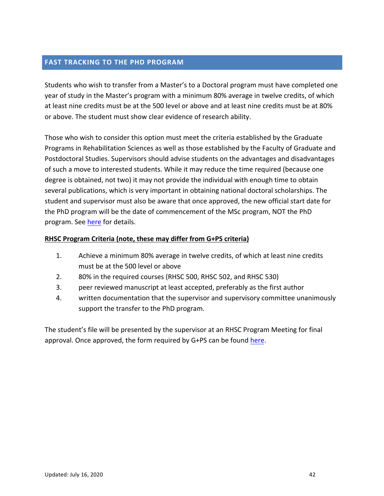#### **Appendix C – Student Progress Report FAST TRACKING TO THE PHD PROGRAM**

Students who wish to transfer from a Master's to a Doctoral program must have completed one year of study in the Master's program with a minimum 80% average in twelve credits, of which at least nine credits must be at the 500 level or above and at least nine credits must be at 80% or above. The student must show clear evidence of research ability.

Those who wish to consider this option must meet the criteria established by the Graduate Programs in Rehabilitation Sciences as well as those established by the Faculty of Graduate and Postdoctoral Studies. Supervisors should advise students on the advantages and disadvantages of such a move to interested students. While it may reduce the time required (because one degree is obtained, not two) it may not provide the individual with enough time to obtain several publications, which is very important in obtaining national doctoral scholarships. The student and supervisor must also be aware that once approved, the new official start date for the PhD program will be the date of commencement of the MSc program, NOT the PhD program. See here for details.

# **RHSC Program Criteria (note, these may differ from G+PS criteria)**

- 1. Achieve a minimum 80% average in twelve credits, of which at least nine credits must be at the 500 level or above
- 2. 80% in the required courses (RHSC 500, RHSC 502, and RHSC 530)
- 3. peer reviewed manuscript at least accepted, preferably as the first author
- 4. written documentation that the supervisor and supervisory committee unanimously support the transfer to the PhD program.

The student's file will be presented by the supervisor at an RHSC Program Meeting for final approval. Once approved, the form required by G+PS can be found here.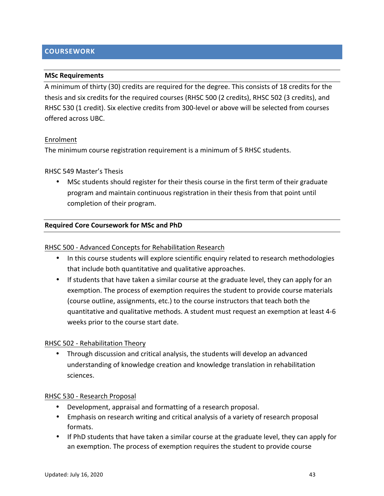# **Appendix C – Student Progress Report COURSEWORK**

### **MSc Requirements**

A minimum of thirty (30) credits are required for the degree. This consists of 18 credits for the thesis and six credits for the required courses (RHSC 500 (2 credits), RHSC 502 (3 credits), and RHSC 530 (1 credit). Six elective credits from 300-level or above will be selected from courses offered across UBC.

#### Enrolment

The minimum course registration requirement is a minimum of 5 RHSC students.

#### RHSC 549 Master's Thesis

• MSc students should register for their thesis course in the first term of their graduate program and maintain continuous registration in their thesis from that point until completion of their program.

#### **Required Core Coursework for MSc and PhD**

#### RHSC 500 - Advanced Concepts for Rehabilitation Research

- In this course students will explore scientific enquiry related to research methodologies that include both quantitative and qualitative approaches.
- If students that have taken a similar course at the graduate level, they can apply for an exemption. The process of exemption requires the student to provide course materials (course outline, assignments, etc.) to the course instructors that teach both the quantitative and qualitative methods. A student must request an exemption at least 4-6 weeks prior to the course start date.

#### RHSC 502 - Rehabilitation Theory

• Through discussion and critical analysis, the students will develop an advanced understanding of knowledge creation and knowledge translation in rehabilitation sciences.

#### RHSC 530 - Research Proposal

- Development, appraisal and formatting of a research proposal.
- Emphasis on research writing and critical analysis of a variety of research proposal formats.
- If PhD students that have taken a similar course at the graduate level, they can apply for an exemption. The process of exemption requires the student to provide course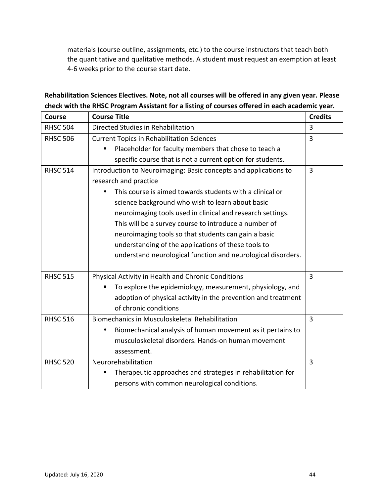Appendix (course outline) assignments, etc., to the course instructors that teach sourch-<br>the quantitative and qualitative methods. A student must request an exemption at least materials (course outline, assignments, etc.) to the course instructors that teach both 4-6 weeks prior to the course start date.

| <b>Course</b>   | <b>Course Title</b>                                              | <b>Credits</b> |
|-----------------|------------------------------------------------------------------|----------------|
| <b>RHSC 504</b> | Directed Studies in Rehabilitation                               | 3              |
| <b>RHSC 506</b> | <b>Current Topics in Rehabilitation Sciences</b>                 | 3              |
|                 | Placeholder for faculty members that chose to teach a            |                |
|                 | specific course that is not a current option for students.       |                |
| <b>RHSC 514</b> | Introduction to Neuroimaging: Basic concepts and applications to | 3              |
|                 | research and practice                                            |                |
|                 | This course is aimed towards students with a clinical or         |                |
|                 | science background who wish to learn about basic                 |                |
|                 | neuroimaging tools used in clinical and research settings.       |                |
|                 | This will be a survey course to introduce a number of            |                |
|                 | neuroimaging tools so that students can gain a basic             |                |
|                 | understanding of the applications of these tools to              |                |
|                 | understand neurological function and neurological disorders.     |                |
|                 |                                                                  |                |
| <b>RHSC 515</b> | Physical Activity in Health and Chronic Conditions               | $\overline{3}$ |
|                 | To explore the epidemiology, measurement, physiology, and        |                |
|                 | adoption of physical activity in the prevention and treatment    |                |
|                 | of chronic conditions                                            |                |
| <b>RHSC 516</b> | Biomechanics in Musculoskeletal Rehabilitation                   | 3              |
|                 | Biomechanical analysis of human movement as it pertains to       |                |
|                 | musculoskeletal disorders. Hands-on human movement               |                |
|                 | assessment.                                                      |                |
| <b>RHSC 520</b> | Neurorehabilitation                                              | 3              |
|                 | Therapeutic approaches and strategies in rehabilitation for      |                |
|                 | persons with common neurological conditions.                     |                |

Rehabilitation Sciences Electives. Note, not all courses will be offered in any given year. Please check with the RHSC Program Assistant for a listing of courses offered in each academic year.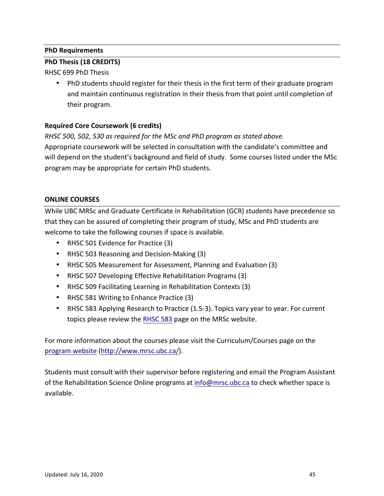# **PhD Requirements**

# **PhD Thesis (18 CREDITS)**

RHSC 699 PhD Thesis

• PhD students should register for their thesis in the first term of their graduate program and maintain continuous registration in their thesis from that point until completion of their program.

# **Required Core Coursework (6 credits)**

*RHSC* 500, 502, 530 as required for the MSc and PhD program as stated above.

Appropriate coursework will be selected in consultation with the candidate's committee and will depend on the student's background and field of study. Some courses listed under the MSc program may be appropriate for certain PhD students.

# **ONLINE COURSES**

While UBC MRSc and Graduate Certificate in Rehabilitation (GCR) students have precedence so that they can be assured of completing their program of study, MSc and PhD students are welcome to take the following courses if space is available.

- RHSC 501 Evidence for Practice (3)
- RHSC 503 Reasoning and Decision-Making (3)
- RHSC 505 Measurement for Assessment, Planning and Evaluation (3)
- RHSC 507 Developing Effective Rehabilitation Programs (3)
- RHSC 509 Facilitating Learning in Rehabilitation Contexts (3)
- RHSC 581 Writing to Enhance Practice (3)
- RHSC 583 Applying Research to Practice (1.5-3). Topics vary year to year. For current topics please review the RHSC 583 page on the MRSc website.

For more information about the courses please visit the Curriculum/Courses page on the program website (http://www.mrsc.ubc.ca/).

Students must consult with their supervisor before registering and email the Program Assistant of the Rehabilitation Science Online programs at info@mrsc.ubc.ca to check whether space is available.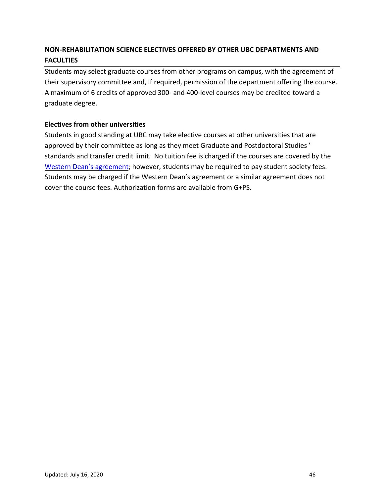#### **A** REPORTED MONEY CONSIDERED SERVINGS ON LE **NON-REHABILITATION SCIENCE ELECTIVES OFFERED BY OTHER UBC DEPARTMENTS AND FACULTIES**

Students may select graduate courses from other programs on campus, with the agreement of their supervisory committee and, if required, permission of the department offering the course. A maximum of 6 credits of approved 300- and 400-level courses may be credited toward a graduate degree. 

# **Electives from other universities**

Students in good standing at UBC may take elective courses at other universities that are approved by their committee as long as they meet Graduate and Postdoctoral Studies' standards and transfer credit limit. No tuition fee is charged if the courses are covered by the Western Dean's agreement; however, students may be required to pay student society fees. Students may be charged if the Western Dean's agreement or a similar agreement does not cover the course fees. Authorization forms are available from G+PS.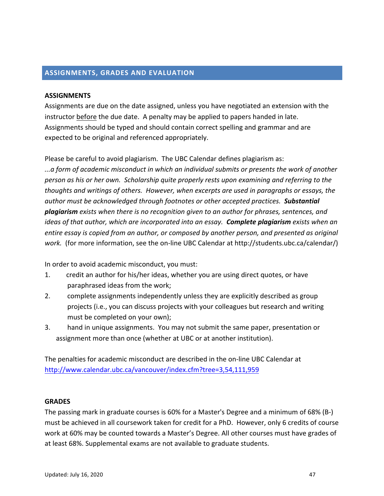# **ASSIGNMENTS, GRADES AND EVALUATION**

## **ASSIGNMENTS**

Assignments are due on the date assigned, unless you have negotiated an extension with the instructor before the due date. A penalty may be applied to papers handed in late. Assignments should be typed and should contain correct spelling and grammar and are expected to be original and referenced appropriately.

Please be careful to avoid plagiarism. The UBC Calendar defines plagiarism as:

*...a form of academic misconduct in which an individual submits or presents the work of another*  person as his or her own. Scholarship quite properly rests upon examining and referring to the *thoughts and writings of others. However, when excerpts are used in paragraphs or essays, the author* must be acknowledged through footnotes or other accepted practices. **Substantial** *plagiarism* exists when there is no recognition given to an author for phrases, sentences, and *ideas* of that author, which are incorporated into an essay. Complete plagiarism exists when an *entire essay is copied from an author, or composed by another person, and presented as original work.* (for more information, see the on-line UBC Calendar at http://students.ubc.ca/calendar/)

In order to avoid academic misconduct, you must:

- 1. Credit an author for his/her ideas, whether you are using direct quotes, or have paraphrased ideas from the work;
- 2. complete assignments independently unless they are explicitly described as group projects (i.e., you can discuss projects with your colleagues but research and writing must be completed on your own);
- 3. hand in unique assignments. You may not submit the same paper, presentation or assignment more than once (whether at UBC or at another institution).

The penalties for academic misconduct are described in the on-line UBC Calendar at http://www.calendar.ubc.ca/vancouver/index.cfm?tree=3,54,111,959

## **GRADES**

The passing mark in graduate courses is 60% for a Master's Degree and a minimum of 68% (B-) must be achieved in all coursework taken for credit for a PhD. However, only 6 credits of course work at 60% may be counted towards a Master's Degree. All other courses must have grades of at least 68%. Supplemental exams are not available to graduate students.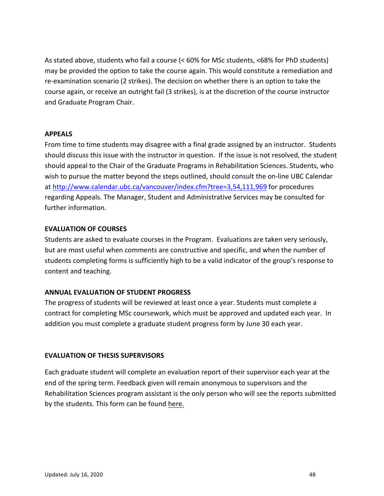**Appendix C – Student Progress Report** As stated above, students who fail a course (< 60% for MSc students, <68% for PhD students) may be provided the option to take the course again. This would constitute a remediation and re-examination scenario (2 strikes). The decision on whether there is an option to take the course again, or receive an outright fail (3 strikes), is at the discretion of the course instructor and Graduate Program Chair.

## **APPEALS**

From time to time students may disagree with a final grade assigned by an instructor. Students should discuss this issue with the instructor in question. If the issue is not resolved, the student should appeal to the Chair of the Graduate Programs in Rehabilitation Sciences. Students, who wish to pursue the matter beyond the steps outlined, should consult the on-line UBC Calendar at http://www.calendar.ubc.ca/vancouver/index.cfm?tree=3,54,111,969 for procedures regarding Appeals. The Manager, Student and Administrative Services may be consulted for further information.

## **EVALUATION OF COURSES**

Students are asked to evaluate courses in the Program. Evaluations are taken very seriously, but are most useful when comments are constructive and specific, and when the number of students completing forms is sufficiently high to be a valid indicator of the group's response to content and teaching.

# **ANNUAL EVALUATION OF STUDENT PROGRESS**

The progress of students will be reviewed at least once a year. Students must complete a contract for completing MSc coursework, which must be approved and updated each year. In addition you must complete a graduate student progress form by June 30 each year.

### **EVALUATION OF THESIS SUPERVISORS**

Each graduate student will complete an evaluation report of their supervisor each year at the end of the spring term. Feedback given will remain anonymous to supervisors and the Rehabilitation Sciences program assistant is the only person who will see the reports submitted by the students. This form can be found here.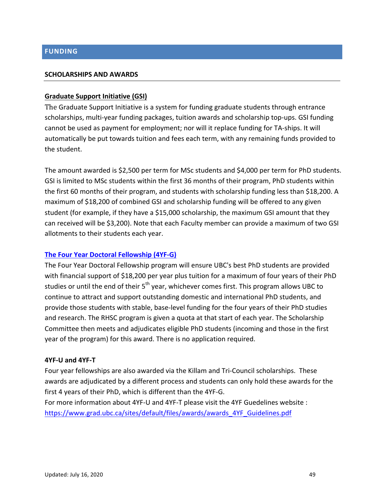#### **Appendix C – Student Progress Report FUNDING**

#### **SCHOLARSHIPS AND AWARDS**

#### **Graduate Support Initiative (GSI)**

The Graduate Support Initiative is a system for funding graduate students through entrance scholarships, multi-year funding packages, tuition awards and scholarship top-ups. GSI funding cannot be used as payment for employment; nor will it replace funding for TA-ships. It will automatically be put towards tuition and fees each term, with any remaining funds provided to the student.

The amount awarded is \$2,500 per term for MSc students and \$4,000 per term for PhD students. GSI is limited to MSc students within the first 36 months of their program, PhD students within the first 60 months of their program, and students with scholarship funding less than \$18,200. A maximum of \$18,200 of combined GSI and scholarship funding will be offered to any given student (for example, if they have a \$15,000 scholarship, the maximum GSI amount that they can received will be \$3,200). Note that each Faculty member can provide a maximum of two GSI allotments to their students each year.

### **The Four Year Doctoral Fellowship (4YF-G)**

The Four Year Doctoral Fellowship program will ensure UBC's best PhD students are provided with financial support of \$18,200 per year plus tuition for a maximum of four years of their PhD studies or until the end of their 5<sup>th</sup> year, whichever comes first. This program allows UBC to continue to attract and support outstanding domestic and international PhD students, and provide those students with stable, base-level funding for the four years of their PhD studies and research. The RHSC program is given a quota at that start of each year. The Scholarship Committee then meets and adjudicates eligible PhD students (incoming and those in the first year of the program) for this award. There is no application required.

#### **4YF-U and 4YF-T**

Four year fellowships are also awarded via the Killam and Tri-Council scholarships. These awards are adjudicated by a different process and students can only hold these awards for the first 4 years of their PhD, which is different than the 4YF-G.

For more information about 4YF-U and 4YF-T please visit the 4YF Guedelines website : https://www.grad.ubc.ca/sites/default/files/awards/awards\_4YF\_Guidelines.pdf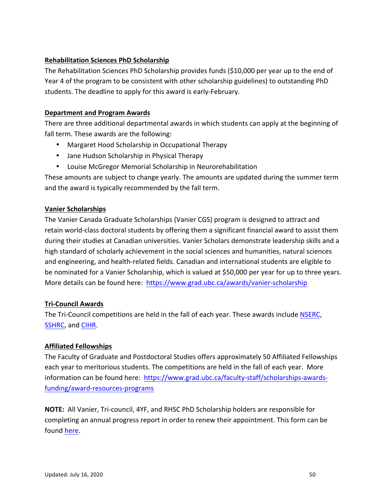#### **Appendix C – Student Progress Report Rehabilitation Sciences PhD Scholarship**

The Rehabilitation Sciences PhD Scholarship provides funds (\$10,000 per year up to the end of Year 4 of the program to be consistent with other scholarship guidelines) to outstanding PhD students. The deadline to apply for this award is early-February.

# **Department and Program Awards**

There are three additional departmental awards in which students can apply at the beginning of fall term. These awards are the following:

- Margaret Hood Scholarship in Occupational Therapy
- Jane Hudson Scholarship in Physical Therapy
- Louise McGregor Memorial Scholarship in Neurorehabilitation

These amounts are subject to change yearly. The amounts are updated during the summer term and the award is typically recommended by the fall term.

# **Vanier Scholarships**

The Vanier Canada Graduate Scholarships (Vanier CGS) program is designed to attract and retain world-class doctoral students by offering them a significant financial award to assist them during their studies at Canadian universities. Vanier Scholars demonstrate leadership skills and a high standard of scholarly achievement in the social sciences and humanities, natural sciences and engineering, and health-related fields. Canadian and international students are eligible to be nominated for a Vanier Scholarship, which is valued at \$50,000 per year for up to three years. More details can be found here: https://www.grad.ubc.ca/awards/vanier-scholarship

# **Tri-Council Awards**

The Tri-Council competitions are held in the fall of each year. These awards include NSERC, SSHRC, and CIHR.

# **Affiliated Fellowships**

The Faculty of Graduate and Postdoctoral Studies offers approximately 50 Affiliated Fellowships each year to meritorious students. The competitions are held in the fall of each year. More information can be found here: https://www.grad.ubc.ca/faculty-staff/scholarships-awardsfunding/award-resources-programs

**NOTE:** All Vanier, Tri-council, 4YF, and RHSC PhD Scholarship holders are responsible for completing an annual progress report in order to renew their appointment. This form can be found here.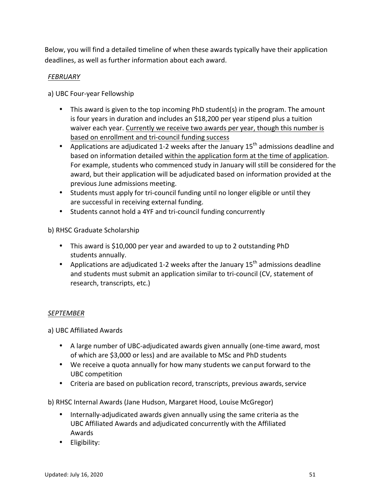**Apple with this is detailed afflicing of When**  $\theta$ Below, you will find a detailed timeline of when these awards typically have their application deadlines, as well as further information about each award.

# *FEBRUARY*

- a) UBC Four-year Fellowship
	- This award is given to the top incoming PhD student(s) in the program. The amount is four years in duration and includes an \$18,200 per year stipend plus a tuition waiver each year. Currently we receive two awards per year, though this number is based on enrollment and tri-council funding success
	- Applications are adjudicated 1-2 weeks after the January  $15<sup>th</sup>$  admissions deadline and based on information detailed within the application form at the time of application. For example, students who commenced study in January will still be considered for the award, but their application will be adjudicated based on information provided at the previous June admissions meeting.
	- Students must apply for tri-council funding until no longer eligible or until they are successful in receiving external funding.
	- Students cannot hold a 4YF and tri-council funding concurrently

b) RHSC Graduate Scholarship

- This award is \$10,000 per year and awarded to up to 2 outstanding PhD students annually.
- Applications are adjudicated 1-2 weeks after the January  $15<sup>th</sup>$  admissions deadline and students must submit an application similar to tri-council (CV, statement of research, transcripts, etc.)

# *SEPTEMBER*

a) UBC Affiliated Awards

- A large number of UBC-adjudicated awards given annually (one-time award, most of which are \$3,000 or less) and are available to MSc and PhD students
- We receive a quota annually for how many students we can put forward to the UBC competition
- Criteria are based on publication record, transcripts, previous awards, service
- b) RHSC Internal Awards (Jane Hudson, Margaret Hood, Louise McGregor)
	- Internally-adjudicated awards given annually using the same criteria as the UBC Affiliated Awards and adjudicated concurrently with the Affiliated Awards
	- Eligibility: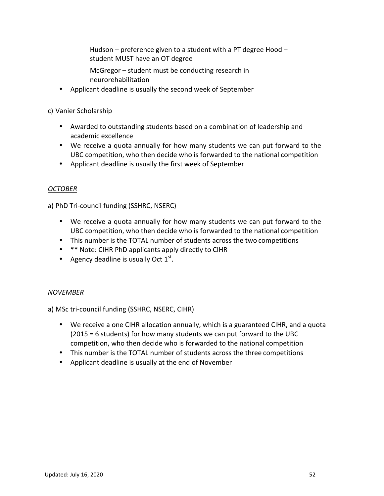Applemendix and **Student MUST** have an OT degree Hudson – preference given to a student with a PT degree Hood –

> McGregor  $-$  student must be conducting research in neurorehabilitation

• Applicant deadline is usually the second week of September

c) Vanier Scholarship

- Awarded to outstanding students based on a combination of leadership and academic excellence
- We receive a quota annually for how many students we can put forward to the UBC competition, who then decide who is forwarded to the national competition
- Applicant deadline is usually the first week of September

# *OCTOBER*

a) PhD Tri-council funding (SSHRC, NSERC)

- We receive a quota annually for how many students we can put forward to the UBC competition, who then decide who is forwarded to the national competition
- This number is the TOTAL number of students across the two competitions
- \*\* Note: CIHR PhD applicants apply directly to CIHR
- Agency deadline is usually Oct  $1^{st}$ .

# *NOVEMBER*

a) MSc tri-council funding (SSHRC, NSERC, CIHR)

- We receive a one CIHR allocation annually, which is a guaranteed CIHR, and a quota  $(2015 = 6$  students) for how many students we can put forward to the UBC competition, who then decide who is forwarded to the national competition
- This number is the TOTAL number of students across the three competitions
- Applicant deadline is usually at the end of November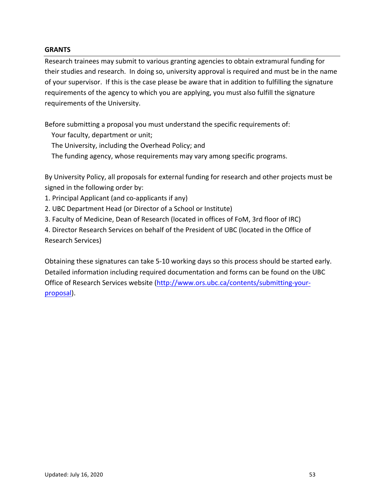## **GRANTS**

**Appendix**<br> **Appendix Contract Contract Contract Contract Contract Contract Contract Contract Contract Contract Contract Contract Contract Contract Contract Contract Contract Contract Contract Contract Contract Contract Co** Research trainees may submit to various granting agencies to obtain extramural funding for their studies and research. In doing so, university approval is required and must be in the name of your supervisor. If this is the case please be aware that in addition to fulfilling the signature requirements of the agency to which you are applying, you must also fulfill the signature requirements of the University.

Before submitting a proposal you must understand the specific requirements of:

- Your faculty, department or unit;
- The University, including the Overhead Policy; and
- The funding agency, whose requirements may vary among specific programs.

By University Policy, all proposals for external funding for research and other projects must be signed in the following order by:

- 1. Principal Applicant (and co-applicants if any)
- 2. UBC Department Head (or Director of a School or Institute)
- 3. Faculty of Medicine, Dean of Research (located in offices of FoM, 3rd floor of IRC)

4. Director Research Services on behalf of the President of UBC (located in the Office of Research Services)

Obtaining these signatures can take 5-10 working days so this process should be started early. Detailed information including required documentation and forms can be found on the UBC Office of Research Services website (http://www.ors.ubc.ca/contents/submitting-yourproposal).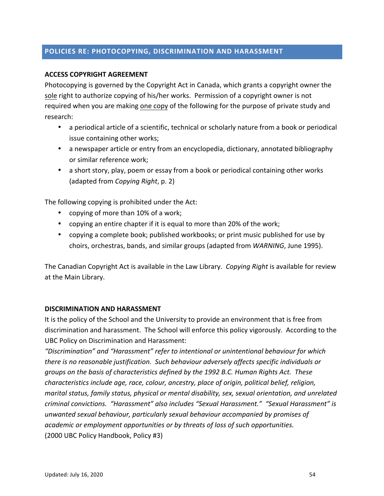# POLICIES RE: PHOTOCOPYING, DISCRIMINATION AND HARASSMEN<mark>T</mark>

## **ACCESS COPYRIGHT AGREEMENT**

Photocopying is governed by the Copyright Act in Canada, which grants a copyright owner the sole right to authorize copying of his/her works. Permission of a copyright owner is not required when you are making one copy of the following for the purpose of private study and research:

- a periodical article of a scientific, technical or scholarly nature from a book or periodical issue containing other works;
- a newspaper article or entry from an encyclopedia, dictionary, annotated bibliography or similar reference work;
- a short story, play, poem or essay from a book or periodical containing other works (adapted from *Copying Right*, p. 2)

The following copying is prohibited under the Act:

- copying of more than 10% of a work;
- copying an entire chapter if it is equal to more than 20% of the work;
- copying a complete book; published workbooks; or print music published for use by choirs, orchestras, bands, and similar groups (adapted from *WARNING*, June 1995).

The Canadian Copyright Act is available in the Law Library. *Copying Right* is available for review at the Main Library.

### **DISCRIMINATION AND HARASSMENT**

It is the policy of the School and the University to provide an environment that is free from discrimination and harassment. The School will enforce this policy vigorously. According to the UBC Policy on Discrimination and Harassment:

"Discrimination" and "Harassment" refer to intentional or unintentional behaviour for which *there is no reasonable justification.* Such behaviour adversely affects specific individuals or *groups on the basis of characteristics defined by the 1992 B.C. Human Rights Act. These characteristics include age, race, colour, ancestry, place of origin, political belief, religion, marital status, family status, physical or mental disability, sex, sexual orientation, and unrelated* criminal convictions. "Harassment" also includes "Sexual Harassment." "Sexual Harassment" is *unwanted sexual behaviour, particularly sexual behaviour accompanied by promises of academic* or employment opportunities or by threats of loss of such opportunities. (2000 UBC Policy Handbook, Policy #3)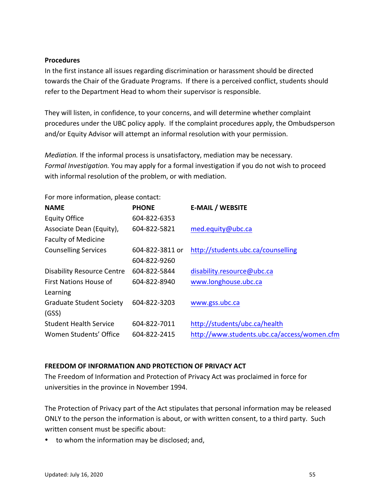#### **Appendix C – Student Progress Report Procedures**

In the first instance all issues regarding discrimination or harassment should be directed towards the Chair of the Graduate Programs. If there is a perceived conflict, students should refer to the Department Head to whom their supervisor is responsible.

They will listen, in confidence, to your concerns, and will determine whether complaint procedures under the UBC policy apply. If the complaint procedures apply, the Ombudsperson and/or Equity Advisor will attempt an informal resolution with your permission.

*Mediation.* If the informal process is unsatisfactory, mediation may be necessary. *Formal Investigation.* You may apply for a formal investigation if you do not wish to proceed with informal resolution of the problem, or with mediation.

For more information, please contact: **NAME PHONE E-MAIL / WEBSITE** Equity Office 604-822-6353 Associate Dean (Equity), Faculty of Medicine 604-822-5821 med.equity@ubc.ca Counselling Services 604-822-3811 or 604-822-9260 http://students.ubc.ca/counselling Disability Resource Centre 604-822-5844 disability.resource@ubc.ca First Nations House of Learning 604-822-8940 www.longhouse.ubc.ca Graduate Student Society (GSS) 604-822-3203 www.gss.ubc.ca Student Health Service 604-822-7011 http://students/ubc.ca/health Women Students' Office 604-822-2415 http://www.students.ubc.ca/access/women.cfm

# **FREEDOM OF INFORMATION AND PROTECTION OF PRIVACY ACT**

The Freedom of Information and Protection of Privacy Act was proclaimed in force for universities in the province in November 1994.

The Protection of Privacy part of the Act stipulates that personal information may be released ONLY to the person the information is about, or with written consent, to a third party. Such written consent must be specific about:

• to whom the information may be disclosed; and,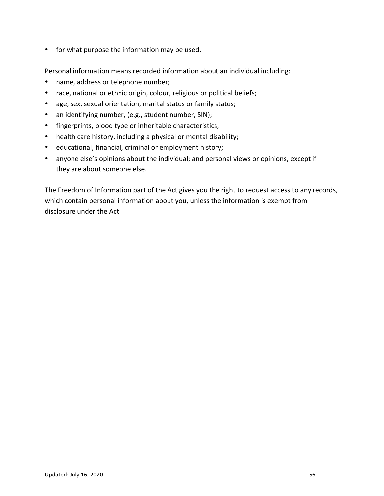• for what purpose the information may be used.

Personal information means recorded information about an individual including:

- name, address or telephone number;
- race, national or ethnic origin, colour, religious or political beliefs;
- age, sex, sexual orientation, marital status or family status;
- an identifying number, (e.g., student number, SIN);
- fingerprints, blood type or inheritable characteristics;
- health care history, including a physical or mental disability;
- educational, financial, criminal or employment history;
- anyone else's opinions about the individual; and personal views or opinions, except if they are about someone else.

The Freedom of Information part of the Act gives you the right to request access to any records, which contain personal information about you, unless the information is exempt from disclosure under the Act.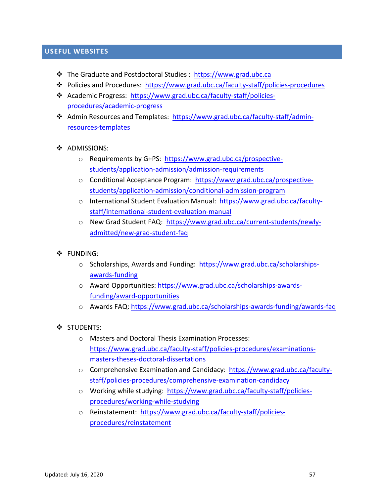# **Appendix WEBSITES**

- **Ex** The Graduate and Postdoctoral Studies : https://www.grad.ubc.ca
- ◆ Policies and Procedures: https://www.grad.ubc.ca/faculty-staff/policies-procedures
- \* Academic Progress: https://www.grad.ubc.ca/faculty-staff/policiesprocedures/academic-progress
- ❖ Admin Resources and Templates: https://www.grad.ubc.ca/faculty-staff/adminresources-templates

### ❖ ADMISSIONS:

- o Requirements by G+PS: https://www.grad.ubc.ca/prospectivestudents/application-admission/admission-requirements
- o Conditional Acceptance Program: https://www.grad.ubc.ca/prospectivestudents/application-admission/conditional-admission-program
- o International Student Evaluation Manual: https://www.grad.ubc.ca/facultystaff/international-student-evaluation-manual
- o New Grad Student FAQ: https://www.grad.ubc.ca/current-students/newlyadmitted/new-grad-student-faq
- " FUNDING:
	- $\circ$  Scholarships, Awards and Funding: https://www.grad.ubc.ca/scholarshipsawards-funding
	- o Award Opportunities: https://www.grad.ubc.ca/scholarships-awardsfunding/award-opportunities
	- o Awards FAQ: https://www.grad.ubc.ca/scholarships-awards-funding/awards-faq
- STUDENTS:
	- o Masters and Doctoral Thesis Examination Processes: https://www.grad.ubc.ca/faculty-staff/policies-procedures/examinationsmasters-theses-doctoral-dissertations
	- o Comprehensive Examination and Candidacy: https://www.grad.ubc.ca/facultystaff/policies-procedures/comprehensive-examination-candidacy
	- o Working while studying: https://www.grad.ubc.ca/faculty-staff/policiesprocedures/working-while-studying
	- o Reinstatement: https://www.grad.ubc.ca/faculty-staff/policiesprocedures/reinstatement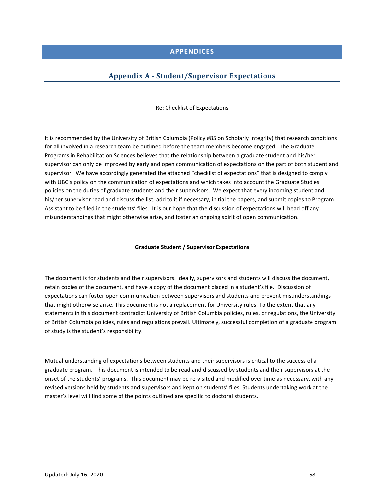#### **Appendix C – Student Progress Report APPENDICES**

## **Appendix A - Student/Supervisor Expectations**

#### Re: Checklist of Expectations

It is recommended by the University of British Columbia (Policy #85 on Scholarly Integrity) that research conditions for all involved in a research team be outlined before the team members become engaged. The Graduate Programs in Rehabilitation Sciences believes that the relationship between a graduate student and his/her supervisor can only be improved by early and open communication of expectations on the part of both student and supervisor. We have accordingly generated the attached "checklist of expectations" that is designed to comply with UBC's policy on the communication of expectations and which takes into account the Graduate Studies policies on the duties of graduate students and their supervisors. We expect that every incoming student and his/her supervisor read and discuss the list, add to it if necessary, initial the papers, and submit copies to Program Assistant to be filed in the students' files. It is our hope that the discussion of expectations will head off any misunderstandings that might otherwise arise, and foster an ongoing spirit of open communication.

#### **Graduate Student / Supervisor Expectations**

The document is for students and their supervisors. Ideally, supervisors and students will discuss the document, retain copies of the document, and have a copy of the document placed in a student's file. Discussion of expectations can foster open communication between supervisors and students and prevent misunderstandings that might otherwise arise. This document is not a replacement for University rules. To the extent that any statements in this document contradict University of British Columbia policies, rules, or regulations, the University of British Columbia policies, rules and regulations prevail. Ultimately, successful completion of a graduate program of study is the student's responsibility.

Mutual understanding of expectations between students and their supervisors is critical to the success of a graduate program. This document is intended to be read and discussed by students and their supervisors at the onset of the students' programs. This document may be re-visited and modified over time as necessary, with any revised versions held by students and supervisors and kept on students' files. Students undertaking work at the master's level will find some of the points outlined are specific to doctoral students.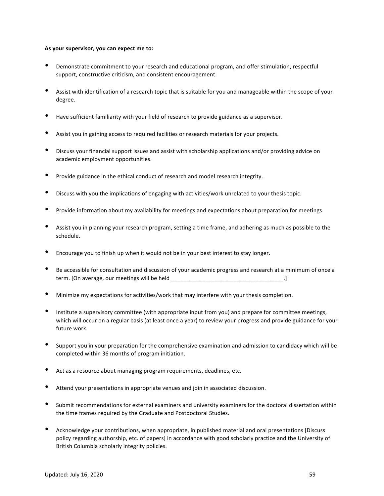#### **Appendix C – Student Progress Report** As your supervisor, you can expect me to:

- Demonstrate commitment to your research and educational program, and offer stimulation, respectful support, constructive criticism, and consistent encouragement.
- Assist with identification of a research topic that is suitable for you and manageable within the scope of your degree.
- Have sufficient familiarity with your field of research to provide guidance as a supervisor.
- Assist you in gaining access to required facilities or research materials for your projects.
- Discuss your financial support issues and assist with scholarship applications and/or providing advice on academic employment opportunities.
- Provide guidance in the ethical conduct of research and model research integrity.
- Discuss with you the implications of engaging with activities/work unrelated to your thesis topic.
- Provide information about my availability for meetings and expectations about preparation for meetings.
- Assist you in planning your research program, setting a time frame, and adhering as much as possible to the schedule.
- Encourage you to finish up when it would not be in your best interest to stay longer.
- Be accessible for consultation and discussion of your academic progress and research at a minimum of once a term. [On average, our meetings will be held \_\_\_\_\_\_\_\_\_\_\_\_\_\_\_\_\_\_\_\_\_\_\_\_\_\_\_\_\_\_\_\_\_\_\_\_.]
- Minimize my expectations for activities/work that may interfere with your thesis completion.
- Institute a supervisory committee (with appropriate input from you) and prepare for committee meetings, which will occur on a regular basis (at least once a year) to review your progress and provide guidance for your future work.
- Support you in your preparation for the comprehensive examination and admission to candidacy which will be completed within 36 months of program initiation.
- $\bullet$  Act as a resource about managing program requirements, deadlines, etc.
- Attend your presentations in appropriate venues and join in associated discussion.
- Submit recommendations for external examiners and university examiners for the doctoral dissertation within the time frames required by the Graduate and Postdoctoral Studies.
- Acknowledge your contributions, when appropriate, in published material and oral presentations [Discuss policy regarding authorship, etc. of papers] in accordance with good scholarly practice and the University of British Columbia scholarly integrity policies.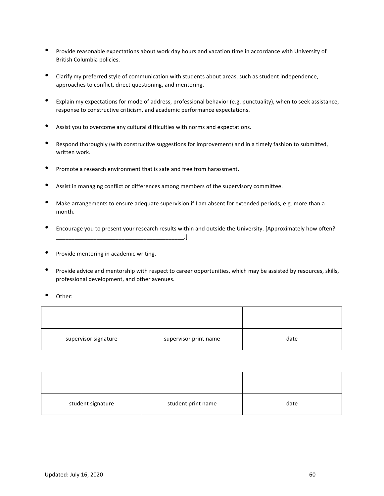- Provide reasonable expectations about work day hours and vacation time in accordance with University of British Columbia policies.
- Clarify my preferred style of communication with students about areas, such as student independence, approaches to conflict, direct questioning, and mentoring.
- Explain my expectations for mode of address, professional behavior (e.g. punctuality), when to seek assistance, response to constructive criticism, and academic performance expectations.
- Assist you to overcome any cultural difficulties with norms and expectations.
- Respond thoroughly (with constructive suggestions for improvement) and in a timely fashion to submitted, written work.
- Promote a research environment that is safe and free from harassment.
- Assist in managing conflict or differences among members of the supervisory committee.
- Make arrangements to ensure adequate supervision if I am absent for extended periods, e.g. more than a month.
- Encourage you to present your research results within and outside the University. [Approximately how often?  $\Box$
- Provide mentoring in academic writing.
- Provide advice and mentorship with respect to career opportunities, which may be assisted by resources, skills, professional development, and other avenues.
- Other:

| supervisor signature | supervisor print name | date |
|----------------------|-----------------------|------|

| student signature | student print name | date |
|-------------------|--------------------|------|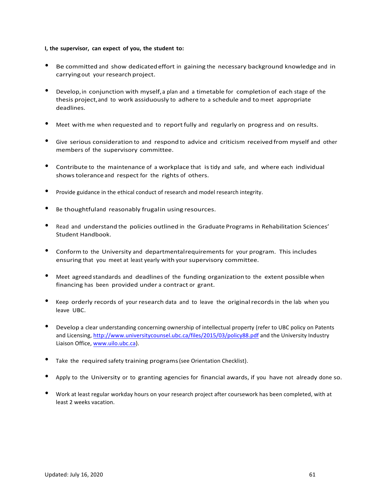#### **Appendix C – Student Progress Report I, the supervisor, can expect of you, the student to:**

- Be committed and show dedicated effort in gaining the necessary background knowledge and in carrying out your research project.
- Develop, in conjunction with myself, a plan and a timetable for completion of each stage of the thesis project, and to work assiduously to adhere to a schedule and to meet appropriate deadlines.
- Meet with me when requested and to report fully and regularly on progress and on results.
- Give serious consideration to and respond to advice and criticism received from myself and other members of the supervisory committee.
- Contribute to the maintenance of a workplace that is tidy and safe, and where each individual showstoleranceand respect for the rights of others.
- Provide guidance in the ethical conduct of research and model research integrity.
- Be thoughtfuland reasonably frugalin using resources.
- Read and understand the policies outlined in the Graduate Programs in Rehabilitation Sciences' Student Handbook.
- Conform to the University and departmentalrequirements for your program. This includes ensuring that you meet at least yearly with your supervisory committee.
- Meet agreed standards and deadlines of the funding organization to the extent possible when financing has been provided under a contract or grant.
- Keep orderly records of your research data and to leave the original records in the lab when you leave UBC.
- Develop a clear understanding concerning ownership of intellectual property (refer to UBC policy on Patents and Licensing, http://www.universitycounsel.ubc.ca/files/2015/03/policy88.pdf and the University Industry Liaison Office, www.uilo.ubc.ca).
- Take the required safety training programs (see Orientation Checklist).
- Apply to the University or to granting agencies for financial awards, if you have not already done so.
- Work at least regular workday hours on your research project after coursework has been completed, with at least 2 weeks vacation.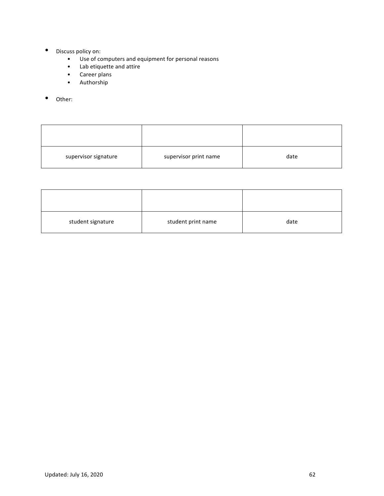- Discuss policy on:
	- **Appendix Students Duicy On:**<br>• Use of computers and equipment for personal reasons
		- Lab etiquette and attire
		- Career plans
		- Authorship
- Other:

| supervisor signature | supervisor print name | date |
|----------------------|-----------------------|------|

| student signature | student print name | date |
|-------------------|--------------------|------|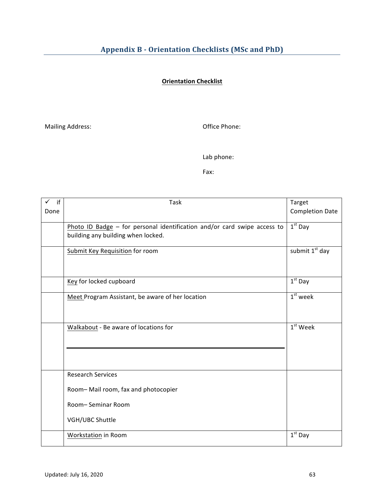# **Orientation Checklist**

Mailing Address: and the mail office Phone:

Lab phone:

Fax: 

| if   | Task                                                                     | Target                     |
|------|--------------------------------------------------------------------------|----------------------------|
| Done |                                                                          | <b>Completion Date</b>     |
|      | Photo ID Badge - for personal identification and/or card swipe access to | $1st$ Day                  |
|      | building any building when locked.                                       |                            |
|      | <b>Submit Key Requisition for room</b>                                   | submit 1 <sup>st</sup> day |
|      |                                                                          |                            |
|      | Key for locked cupboard                                                  | $1st$ Day                  |
|      | Meet Program Assistant, be aware of her location                         | $1st$ week                 |
|      |                                                                          |                            |
|      | Walkabout - Be aware of locations for                                    | $1st$ Week                 |
|      |                                                                          |                            |
|      |                                                                          |                            |
|      | <b>Research Services</b>                                                 |                            |
|      | Room-Mail room, fax and photocopier                                      |                            |
|      | Room-Seminar Room                                                        |                            |
|      | VGH/UBC Shuttle                                                          |                            |
|      | Workstation in Room                                                      | $1st$ Day                  |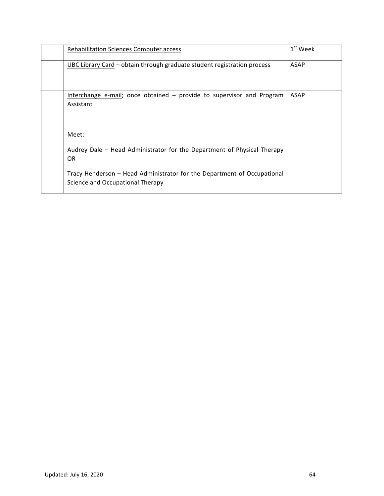| Rehabilitation Sciences Computer access                                                                     | $1st$ Week  |
|-------------------------------------------------------------------------------------------------------------|-------------|
| UBC Library Card - obtain through graduate student registration process                                     | ASAP        |
| Interchange e-mail; once obtained - provide to supervisor and Program<br>Assistant                          | <b>ASAP</b> |
| Meet:<br>Audrey Dale - Head Administrator for the Department of Physical Therapy<br><b>OR</b>               |             |
| Tracy Henderson - Head Administrator for the Department of Occupational<br>Science and Occupational Therapy |             |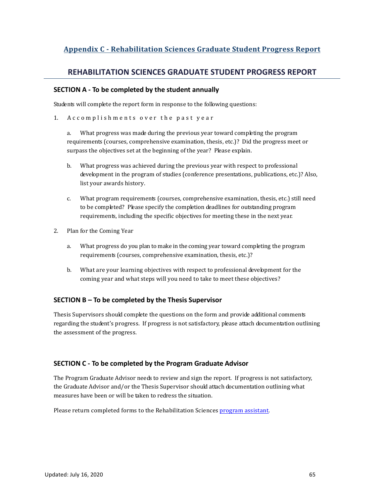#### **Appendix C – Student Progress Report Appendix C - Rehabilitation Sciences Graduate Student Progress Report**

# **REHABILITATION SCIENCES GRADUATE STUDENT PROGRESS REPORT**

#### **SECTION A - To be completed by the student annually**

Students will complete the report form in response to the following questions:

1. Accomplishments over the past year

a. What progress was made during the previous year toward completing the program requirements (courses, comprehensive examination, thesis, etc.)? Did the progress meet or surpass the objectives set at the beginning of the year? Please explain.

- b. What progress was achieved during the previous year with respect to professional development in the program of studies (conference presentations, publications, etc.)? Also, list your awards history.
- c. What program requirements (courses, comprehensive examination, thesis, etc.) still need to be completed? Please specify the completion deadlines for outstanding program requirements, including the specific objectives for meeting these in the next year.
- 2. Plan for the Coming Year
	- a. What progress do you plan to make in the coming year toward completing the program requirements (courses, comprehensive examination, thesis, etc.)?
	- b. What are your learning objectives with respect to professional development for the coming year and what steps will you need to take to meet these objectives?

### **SECTION B – To be completed by the Thesis Supervisor**

Thesis Supervisors should complete the questions on the form and provide additional comments regarding the student's progress. If progress is not satisfactory, please attach documentation outlining the assessment of the progress.

### **SECTION C - To be completed by the Program Graduate Advisor**

The Program Graduate Advisor needs to review and sign the report. If progress is not satisfactory, the Graduate Advisor and/or the Thesis Supervisor should attach documentation outlining what measures have been or will be taken to redress the situation.

Please return completed forms to the Rehabilitation Sciences program assistant.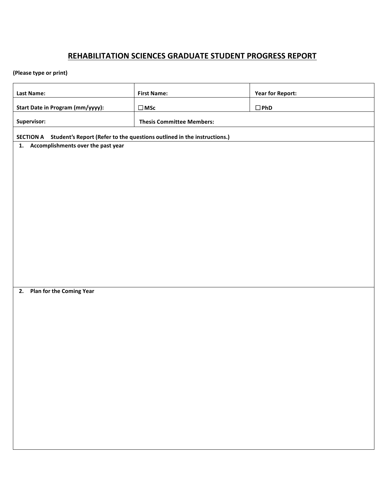# **REHABILITATION SCIENCES GRADUATE STUDENT PROGRESS REPORT**

# **(Please type or print)**

| <b>Last Name:</b>                                                                                                          | <b>First Name:</b>               | <b>Year for Report:</b> |
|----------------------------------------------------------------------------------------------------------------------------|----------------------------------|-------------------------|
| Start Date in Program (mm/yyyy):                                                                                           | $\Box$ MSc                       | $\square$ PhD           |
| Supervisor:                                                                                                                | <b>Thesis Committee Members:</b> |                         |
|                                                                                                                            |                                  |                         |
| SECTION A Student's Report (Refer to the questions outlined in the instructions.)<br>1. Accomplishments over the past year |                                  |                         |
|                                                                                                                            |                                  |                         |
|                                                                                                                            |                                  |                         |
|                                                                                                                            |                                  |                         |
|                                                                                                                            |                                  |                         |
|                                                                                                                            |                                  |                         |
|                                                                                                                            |                                  |                         |
|                                                                                                                            |                                  |                         |
|                                                                                                                            |                                  |                         |
|                                                                                                                            |                                  |                         |
|                                                                                                                            |                                  |                         |
| 2. Plan for the Coming Year                                                                                                |                                  |                         |
|                                                                                                                            |                                  |                         |
|                                                                                                                            |                                  |                         |
|                                                                                                                            |                                  |                         |
|                                                                                                                            |                                  |                         |
|                                                                                                                            |                                  |                         |
|                                                                                                                            |                                  |                         |
|                                                                                                                            |                                  |                         |
|                                                                                                                            |                                  |                         |
|                                                                                                                            |                                  |                         |
|                                                                                                                            |                                  |                         |
|                                                                                                                            |                                  |                         |
|                                                                                                                            |                                  |                         |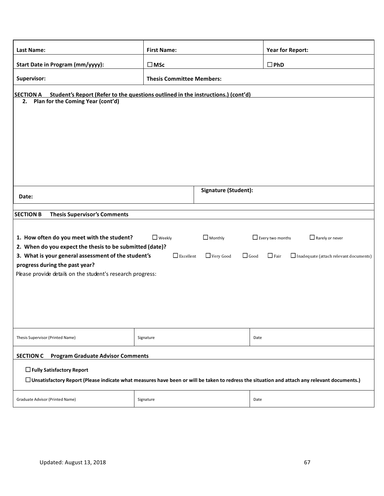| <b>Last Name:</b>                                                                                                                                   | <b>First Name:</b>                                                               | <b>Year for Report:</b>                               |  |  |
|-----------------------------------------------------------------------------------------------------------------------------------------------------|----------------------------------------------------------------------------------|-------------------------------------------------------|--|--|
| Start Date in Program (mm/yyyy):                                                                                                                    | $\square$ MSc                                                                    | $\square$ PhD                                         |  |  |
| Supervisor:                                                                                                                                         | <b>Thesis Committee Members:</b>                                                 |                                                       |  |  |
| <b>SECTION A</b>                                                                                                                                    | Student's Report (Refer to the questions outlined in the instructions.) (cont'd) |                                                       |  |  |
| Plan for the Coming Year (cont'd)<br>2.                                                                                                             |                                                                                  |                                                       |  |  |
|                                                                                                                                                     |                                                                                  |                                                       |  |  |
|                                                                                                                                                     |                                                                                  |                                                       |  |  |
|                                                                                                                                                     |                                                                                  |                                                       |  |  |
|                                                                                                                                                     |                                                                                  |                                                       |  |  |
|                                                                                                                                                     |                                                                                  |                                                       |  |  |
|                                                                                                                                                     |                                                                                  |                                                       |  |  |
| Date:                                                                                                                                               | Signature (Student):                                                             |                                                       |  |  |
|                                                                                                                                                     |                                                                                  |                                                       |  |  |
| <b>SECTION B</b><br><b>Thesis Supervisor's Comments</b>                                                                                             |                                                                                  |                                                       |  |  |
|                                                                                                                                                     |                                                                                  |                                                       |  |  |
| 1. How often do you meet with the student?                                                                                                          | $\Box$ Weekly<br>$\Box$ Monthly                                                  | $\Box$ Every two months<br>$\Box$ Rarely or never     |  |  |
| 2. When do you expect the thesis to be submitted (date)?                                                                                            |                                                                                  |                                                       |  |  |
| 3. What is your general assessment of the student's<br>progress during the past year?                                                               | $\Box$ Excellent<br>Very Good<br>$\Box$ Good                                     | $\Box$ Fair<br>Inadequate (attach relevant documents) |  |  |
| Please provide details on the student's research progress:                                                                                          |                                                                                  |                                                       |  |  |
|                                                                                                                                                     |                                                                                  |                                                       |  |  |
|                                                                                                                                                     |                                                                                  |                                                       |  |  |
|                                                                                                                                                     |                                                                                  |                                                       |  |  |
|                                                                                                                                                     |                                                                                  |                                                       |  |  |
| Thesis Supervisor (Printed Name)                                                                                                                    | Signature                                                                        | Date                                                  |  |  |
|                                                                                                                                                     |                                                                                  |                                                       |  |  |
| <b>SECTION C</b><br><b>Program Graduate Advisor Comments</b>                                                                                        |                                                                                  |                                                       |  |  |
| □ Fully Satisfactory Report                                                                                                                         |                                                                                  |                                                       |  |  |
| $\Box$ Unsatisfactory Report (Please indicate what measures have been or will be taken to redress the situation and attach any relevant documents.) |                                                                                  |                                                       |  |  |
| Graduate Advisor (Printed Name)                                                                                                                     | Signature                                                                        | Date                                                  |  |  |
|                                                                                                                                                     |                                                                                  |                                                       |  |  |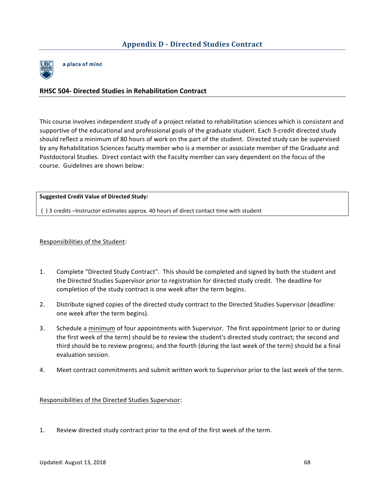

a place of mind

# **RHSC 504- Directed Studies in Rehabilitation Contract**

This course involves independent study of a project related to rehabilitation sciences which is consistent and supportive of the educational and professional goals of the graduate student. Each 3-credit directed study should reflect a minimum of 80 hours of work on the part of the student. Directed study can be supervised by any Rehabilitation Sciences faculty member who is a member or associate member of the Graduate and Postdoctoral Studies. Direct contact with the Faculty member can vary dependent on the focus of the course. Guidelines are shown below:

**Suggested Credit Value of Directed Study:**

() 3 credits –Instructor estimates approx. 40 hours of direct contact time with student

Responsibilities of the Student:

- 1. Complete "Directed Study Contract". This should be completed and signed by both the student and the Directed Studies Supervisor prior to registration for directed study credit. The deadline for completion of the study contract is one week after the term begins.
- 2. Distribute signed copies of the directed study contract to the Directed Studies Supervisor (deadline: one week after the term begins).
- 3. Schedule a minimum of four appointments with Supervisor. The first appointment (prior to or during the first week of the term) should be to review the student's directed study contract; the second and third should be to review progress; and the fourth (during the last week of the term) should be a final evaluation session.
- 4. Meet contract commitments and submit written work to Supervisor prior to the last week of the term.

Responsibilities of the Directed Studies Supervisor:

1. Review directed study contract prior to the end of the first week of the term.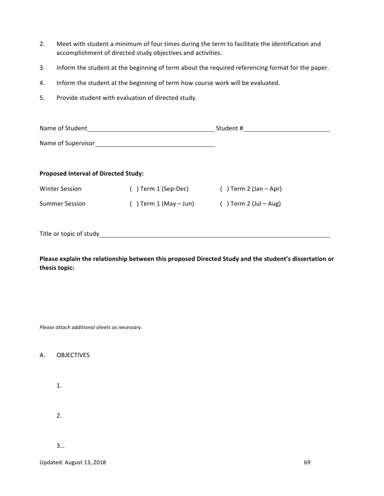- accomplishment of directed study objectives and activities. 2. Meet with student a minimum of four times during the term to facilitate the identification and
- 3. Inform the student at the beginning of term about the required referencing format for the paper.
- 4. Inform the student at the beginning of term how course work will be evaluated.
- 5. Provide student with evaluation of directed study.

| Name of Student                      |                            | Student #                |  |  |
|--------------------------------------|----------------------------|--------------------------|--|--|
| Name of Supervisor                   |                            |                          |  |  |
| Proposed Interval of Directed Study: |                            |                          |  |  |
| <b>Winter Session</b>                | () Term 1 (Sep-Dec)        | $( )$ Term 2 (Jan – Apr) |  |  |
| <b>Summer Session</b>                | $( )$ Term 1 (May $-$ Jun) | $( )$ Term 2 (Jul – Aug) |  |  |
|                                      |                            |                          |  |  |

Title or topic of study

Please explain the relationship between this proposed Directed Study and the student's dissertation or **thesis topic:**

*Please attach additional sheets as necessary.*

#### A. OBJECTIVES

1.

2.

3…

Updated: August 13, 2018 **69**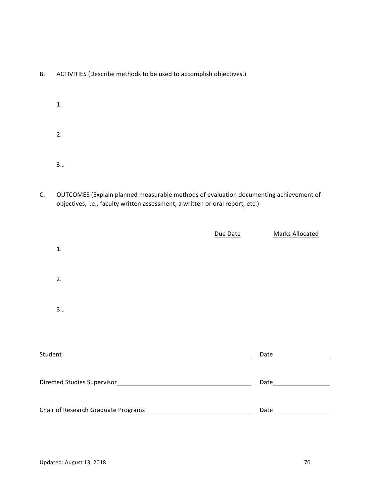- B. ACTIVITIES (Describe methods to be used to accomplish objectives.)
	- 1. 2. 3…
- C. OUTCOMES (Explain planned measurable methods of evaluation documenting achievement of objectives, i.e., faculty written assessment, a written or oral report, etc.)

|                                                                                                                                  | Due Date | Marks Allocated                                                                                               |
|----------------------------------------------------------------------------------------------------------------------------------|----------|---------------------------------------------------------------------------------------------------------------|
| 1.                                                                                                                               |          |                                                                                                               |
| 2.                                                                                                                               |          |                                                                                                               |
| 3                                                                                                                                |          |                                                                                                               |
|                                                                                                                                  |          |                                                                                                               |
| Student<br><u> 1980 - Johann Stoff, deutscher Stoffen und der Stoffen und der Stoffen und der Stoffen und der Stoffen und de</u> |          |                                                                                                               |
|                                                                                                                                  |          | Date and the state of the state of the state of the state of the state of the state of the state of the state |
|                                                                                                                                  |          |                                                                                                               |
| Chair of Research Graduate Programs                                                                                              |          | Date                                                                                                          |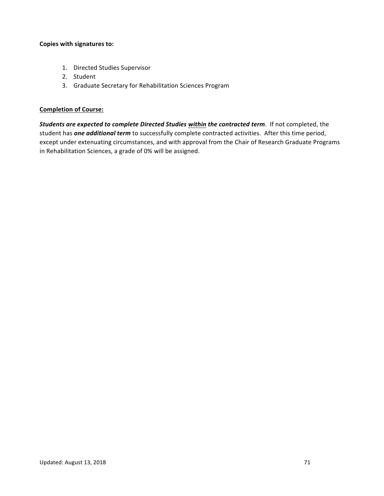#### **Copies with signatures to:**

- 1. Directed Studies Supervisor
- 2. Student
- 3. Graduate Secretary for Rehabilitation Sciences Program

### **Completion of Course:**

**Students are expected to complete Directed Studies within the contracted term.** If not completed, the student has **one additional term** to successfully complete contracted activities. After this time period, except under extenuating circumstances, and with approval from the Chair of Research Graduate Programs in Rehabilitation Sciences, a grade of 0% will be assigned.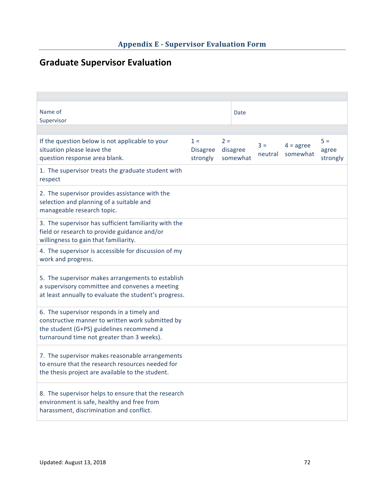# **Graduate Supervisor Evaluation**

| Name of<br>Supervisor                                                                                                                                                                     |                                      |                               | Date |                  |                                |                            |
|-------------------------------------------------------------------------------------------------------------------------------------------------------------------------------------------|--------------------------------------|-------------------------------|------|------------------|--------------------------------|----------------------------|
|                                                                                                                                                                                           |                                      |                               |      |                  |                                |                            |
| If the question below is not applicable to your<br>situation please leave the<br>question response area blank.                                                                            | $1 =$<br><b>Disagree</b><br>strongly | $2 =$<br>disagree<br>somewhat |      | $3 =$<br>neutral | $4 = \text{agree}$<br>somewhat | $5 =$<br>agree<br>strongly |
| 1. The supervisor treats the graduate student with<br>respect                                                                                                                             |                                      |                               |      |                  |                                |                            |
| 2. The supervisor provides assistance with the<br>selection and planning of a suitable and<br>manageable research topic.                                                                  |                                      |                               |      |                  |                                |                            |
| 3. The supervisor has sufficient familiarity with the<br>field or research to provide guidance and/or<br>willingness to gain that familiarity.                                            |                                      |                               |      |                  |                                |                            |
| 4. The supervisor is accessible for discussion of my<br>work and progress.                                                                                                                |                                      |                               |      |                  |                                |                            |
| 5. The supervisor makes arrangements to establish<br>a supervisory committee and convenes a meeting<br>at least annually to evaluate the student's progress.                              |                                      |                               |      |                  |                                |                            |
| 6. The supervisor responds in a timely and<br>constructive manner to written work submitted by<br>the student (G+PS) guidelines recommend a<br>turnaround time not greater than 3 weeks). |                                      |                               |      |                  |                                |                            |
| 7. The supervisor makes reasonable arrangements<br>to ensure that the research resources needed for<br>the thesis project are available to the student.                                   |                                      |                               |      |                  |                                |                            |
| 8. The supervisor helps to ensure that the research<br>environment is safe, healthy and free from<br>harassment, discrimination and conflict.                                             |                                      |                               |      |                  |                                |                            |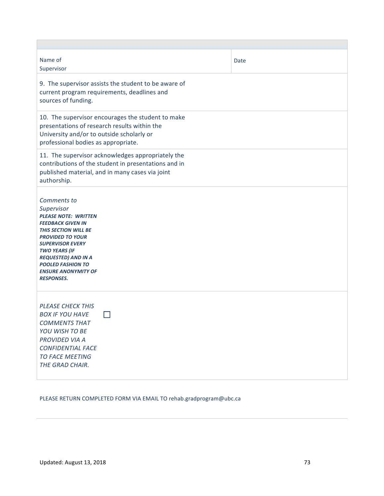| Name of<br>Supervisor                                                                                                                                                                                                                                                                                          | Date |  |  |  |
|----------------------------------------------------------------------------------------------------------------------------------------------------------------------------------------------------------------------------------------------------------------------------------------------------------------|------|--|--|--|
| 9. The supervisor assists the student to be aware of<br>current program requirements, deadlines and<br>sources of funding.                                                                                                                                                                                     |      |  |  |  |
| 10. The supervisor encourages the student to make<br>presentations of research results within the<br>University and/or to outside scholarly or<br>professional bodies as appropriate.                                                                                                                          |      |  |  |  |
| 11. The supervisor acknowledges appropriately the<br>contributions of the student in presentations and in<br>published material, and in many cases via joint<br>authorship.                                                                                                                                    |      |  |  |  |
| Comments to<br>Supervisor<br><b>PLEASE NOTE: WRITTEN</b><br><b>FEEDBACK GIVEN IN</b><br><b>THIS SECTION WILL BE</b><br><b>PROVIDED TO YOUR</b><br><b>SUPERVISOR EVERY</b><br><b>TWO YEARS (IF</b><br><b>REQUESTED) AND IN A</b><br><b>POOLED FASHION TO</b><br><b>ENSURE ANONYMITY OF</b><br><b>RESPONSES.</b> |      |  |  |  |
| <b>PLEASE CHECK THIS</b><br><b>BOX IF YOU HAVE</b><br><b>COMMENTS THAT</b><br>YOU WISH TO BE<br><b>PROVIDED VIA A</b><br><b>CONFIDENTIAL FACE</b><br><b>TO FACE MEETING</b><br>THE GRAD CHAIR.                                                                                                                 |      |  |  |  |

## PLEASE RETURN COMPLETED FORM VIA EMAIL TO rehab.gradprogram@ubc.ca

 $\overline{\phantom{a}}$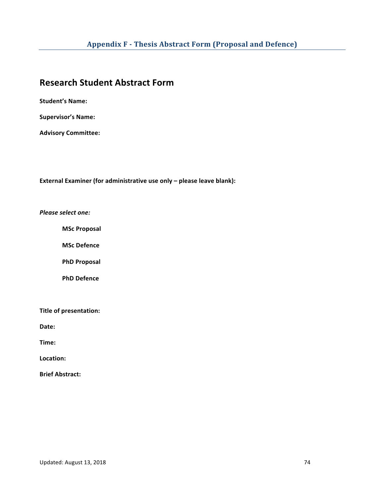# **Research Student Abstract Form**

**Student's Name:** 

**Supervisor's Name:** 

**Advisory Committee:** 

**External Examiner (for administrative use only - please leave blank):** 

*Please select one:*

**MSc Proposal**

**MSc Defence**

**PhD Proposal**

**PhD Defence**

**Title of presentation:** 

Date:

**Time:** 

Location:

**Brief Abstract:**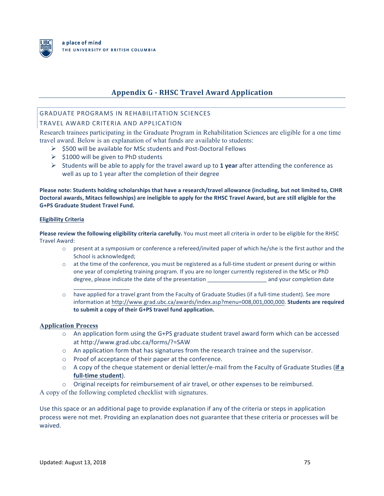

## **Appendix G - RHSC Travel Award Application**

## GRADUATE PROGRAMS IN REHABILITATION SCIENCES

## TRAVEL AWARD CRITERIA AND APPLICATION

Research trainees participating in the Graduate Program in Rehabilitation Sciences are eligible for a one time travel award. Below is an explanation of what funds are available to students:

- $\triangleright$  \$500 will be available for MSc students and Post-Doctoral Fellows
- $\triangleright$  \$1000 will be given to PhD students

 $\_$ 

 $\triangleright$  Students will be able to apply for the travel award up to 1 year after attending the conference as well as up to 1 year after the completion of their degree

Please note: Students holding scholarships that have a research/travel allowance (including, but not limited to, CIHR Doctoral awards, Mitacs fellowships) are ineligible to apply for the RHSC Travel Award, but are still eligible for the **G+PS Graduate Student Travel Fund.** 

#### **Eligibility Criteria**

**Please review the following eligibility criteria carefully.** You must meet all criteria in order to be eligible for the RHSC Travel Award:

- $\circ$  present at a symposium or conference a refereed/invited paper of which he/she is the first author and the School is acknowledged:
- $\circ$  at the time of the conference, you must be registered as a full-time student or present during or within one year of completing training program. If you are no longer currently registered in the MSc or PhD degree, please indicate the date of the presentation \_\_\_\_\_\_\_\_\_\_\_\_\_\_\_\_\_\_\_\_\_\_\_\_\_\_\_ and your completion date
- $\circ$  have applied for a travel grant from the Faculty of Graduate Studies (if a full-time student). See more information at http://www.grad.ubc.ca/awards/index.asp?menu=008,001,000,000. **Students are required** to submit a copy of their G+PS travel fund application.

#### **Application Process**

- $\circ$  An application form using the G+PS graduate student travel award form which can be accessed at http://www.grad.ubc.ca/forms/?=SAW
- $\circ$  An application form that has signatures from the research trainee and the supervisor.
- $\circ$  Proof of acceptance of their paper at the conference.
- o A copy of the cheque statement or denial letter/e-mail from the Faculty of Graduate Studies (if a full-time student).
- $\circ$  Original receipts for reimbursement of air travel, or other expenses to be reimbursed.

A copy of the following completed checklist with signatures.

Use this space or an additional page to provide explanation if any of the criteria or steps in application process were not met. Providing an explanation does not guarantee that these criteria or processes will be waived.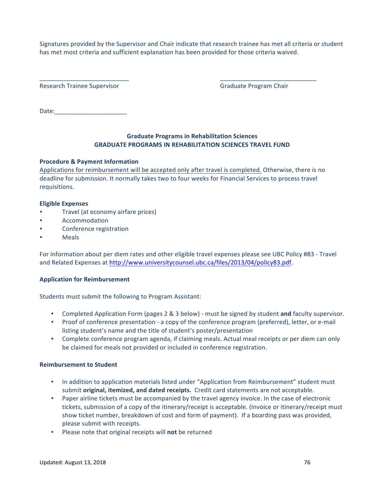has met most criteria and sufficient explanation has been provided for those criteria waived. Signatures provided by the Supervisor and Chair indicate that research trainee has met all criteria or student

\_\_\_\_\_\_\_\_\_\_\_\_\_\_\_\_\_\_\_\_\_\_\_\_\_\_ \_\_\_\_\_\_\_\_\_\_\_\_\_\_\_\_\_\_\_\_\_\_\_\_\_\_\_\_

Research Trainee Supervisor **Branch State And Trainee** Supervisor **and Trainee** Supervisor **and Trainee** Supervisor

Date:\_\_\_\_\_\_\_\_\_\_\_\_\_\_\_\_\_\_\_\_\_ 

## **Graduate Programs in Rehabilitation Sciences GRADUATE PROGRAMS IN REHABILITATION SCIENCES TRAVEL FUND**

### **Procedure & Payment Information**

Applications for reimbursement will be accepted only after travel is completed. Otherwise, there is no deadline for submission. It normally takes two to four weeks for Financial Services to process travel requisitions.

#### **Eligible Expenses**

- Travel (at economy airfare prices)
- **Accommodation**
- Conference registration
- **Meals**

For information about per diem rates and other eligible travel expenses please see UBC Policy #83 - Travel and Related Expenses at http://www.universitycounsel.ubc.ca/files/2013/04/policy83.pdf.

### **Application for Reimbursement**

Students must submit the following to Program Assistant:

- Completed Application Form (pages 2 & 3 below) must be signed by student and faculty supervisor.
- Proof of conference presentation a copy of the conference program (preferred), letter, or e-mail listing student's name and the title of student's poster/presentation
- Complete conference program agenda, if claiming meals. Actual meal receipts or per diem can only be claimed for meals not provided or included in conference registration.

#### **Reimbursement to Student**

- In addition to application materials listed under "Application from Reimbursement" student must submit **original, itemized, and dated receipts.** Credit card statements are not acceptable.
- Paper airline tickets must be accompanied by the travel agency invoice. In the case of electronic tickets, submission of a copy of the itinerary/receipt is acceptable. (Invoice or itinerary/receipt must show ticket number, breakdown of cost and form of payment). If a boarding pass was provided, please submit with receipts.
- Please note that original receipts will not be returned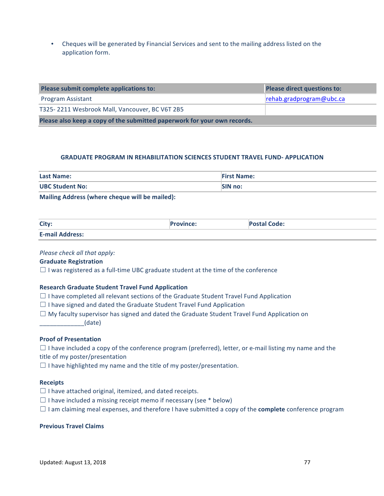**Application form.** • Cheques will be generated by Financial Services and sent to the mailing address listed on the

| Please submit complete applications to:                                  | <b>Please direct questions to:</b> |  |
|--------------------------------------------------------------------------|------------------------------------|--|
| Program Assistant                                                        | $\lvert$ rehab.gradprogram@ubc.ca  |  |
| T325-2211 Wesbrook Mall, Vancouver, BC V6T 2B5                           |                                    |  |
| Please also keep a copy of the submitted paperwork for your own records. |                                    |  |

#### **GRADUATE PROGRAM IN REHABILITATION SCIENCES STUDENT TRAVEL FUND- APPLICATION**

| <b>Last Name:</b>      | <b>First Name:</b> |
|------------------------|--------------------|
| <b>UBC Student No:</b> | <b>SIN no:</b>     |
| .<br>.                 |                    |

**Mailing Address (where cheque will be mailed):** 

| City:                  | 'rovince: | <b>Postal Code:</b> |
|------------------------|-----------|---------------------|
| <b>E-mail Address:</b> |           |                     |

#### *Please check all that apply:*

#### **Graduate Registration**

 $\Box$  I was registered as a full-time UBC graduate student at the time of the conference

#### **Research Graduate Student Travel Fund Application**

- $\Box$  I have completed all relevant sections of the Graduate Student Travel Fund Application
- $\Box$  I have signed and dated the Graduate Student Travel Fund Application
- $\Box$  My faculty supervisor has signed and dated the Graduate Student Travel Fund Application on \_\_\_\_\_\_\_\_\_\_\_\_\_(date)

#### **Proof of Presentation**

 $\Box$  I have included a copy of the conference program (preferred), letter, or e-mail listing my name and the title of my poster/presentation

 $\Box$  I have highlighted my name and the title of my poster/presentation.

#### **Receipts**

- $\Box$  I have attached original, itemized, and dated receipts.
- $\Box$  I have included a missing receipt memo if necessary (see  $*$  below)
- $\Box$  I am claiming meal expenses, and therefore I have submitted a copy of the **complete** conference program

#### **Previous Travel Claims**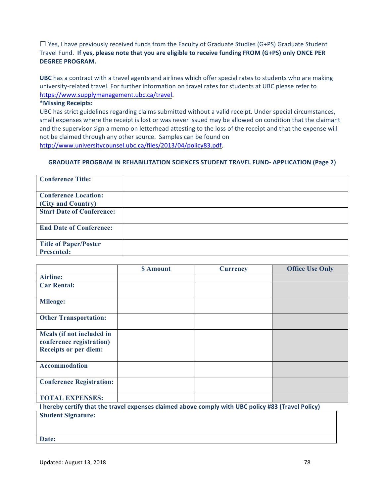Travel Fund. If y<mark>es, please note that you are eligible to receive funding FROM (G+PS) only ONCE PER</mark>  $\Box$  Yes, I have previously received funds from the Faculty of Graduate Studies (G+PS) Graduate Student **DEGREE PROGRAM.** 

**UBC** has a contract with a travel agents and airlines which offer special rates to students who are making university-related travel. For further information on travel rates for students at UBC please refer to https://www.supplymanagement.ubc.ca/travel.

#### **\*Missing Receipts:**

UBC has strict guidelines regarding claims submitted without a valid receipt. Under special circumstances, small expenses where the receipt is lost or was never issued may be allowed on condition that the claimant and the supervisor sign a memo on letterhead attesting to the loss of the receipt and that the expense will not be claimed through any other source. Samples can be found on http://www.universitycounsel.ubc.ca/files/2013/04/policy83.pdf.

#### **GRADUATE PROGRAM IN REHABILITATION SCIENCES STUDENT TRAVEL FUND- APPLICATION (Page 2)**

| <b>Conference Title:</b>         |  |
|----------------------------------|--|
| <b>Conference Location:</b>      |  |
| (City and Country)               |  |
| <b>Start Date of Conference:</b> |  |
| <b>End Date of Conference:</b>   |  |
| <b>Title of Paper/Poster</b>     |  |
| <b>Presented:</b>                |  |

|                                                                                                  | \$ Amount | <b>Currency</b> | <b>Office Use Only</b> |  |
|--------------------------------------------------------------------------------------------------|-----------|-----------------|------------------------|--|
| <b>Airline:</b>                                                                                  |           |                 |                        |  |
| <b>Car Rental:</b>                                                                               |           |                 |                        |  |
| <b>Mileage:</b>                                                                                  |           |                 |                        |  |
| <b>Other Transportation:</b>                                                                     |           |                 |                        |  |
| Meals (if not included in<br>conference registration)<br><b>Receipts or per diem:</b>            |           |                 |                        |  |
| <b>Accommodation</b>                                                                             |           |                 |                        |  |
| <b>Conference Registration:</b>                                                                  |           |                 |                        |  |
| <b>TOTAL EXPENSES:</b>                                                                           |           |                 |                        |  |
| hereby certify that the travel expenses claimed above comply with UBC policy #83 (Travel Policy) |           |                 |                        |  |

**I** expenses claimed above comply with UBC policy #83 (Travel Policy) **Student Signature: Date:**